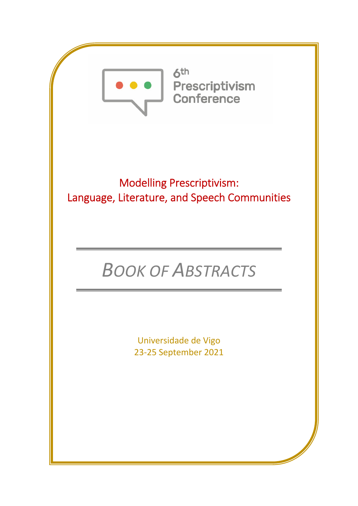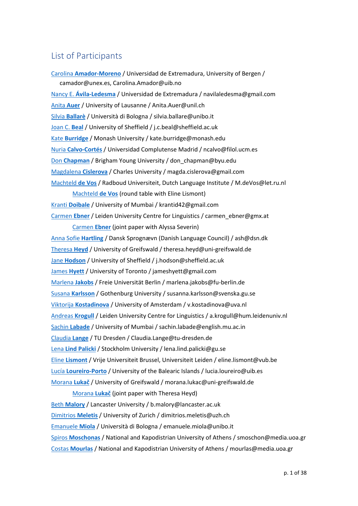# List of Participants

Carolina **Amador‐Moreno** / Universidad de Extremadura, University of Bergen / camador@unex.es, Carolina.Amador@uib.no Nancy E. **Ávila‐Ledesma** / Universidad de Extremadura / navilaledesma@gmail.com Anita **Auer** / University of Lausanne / Anita.Auer@unil.ch Silvia **Ballarè** / Università di Bologna / silvia.ballare@unibo.it Joan C. **Beal** / University of Sheffield / j.c.beal@sheffield.ac.uk Kate **Burridge** / Monash University / kate.burridge@monash.edu Nuria **Calvo‐Cortés** / Universidad Complutense Madrid / ncalvo@filol.ucm.es Don **Chapman** / Brigham Young University / don\_chapman@byu.edu Magdalena **Cislerova** / Charles University / magda.cislerova@gmail.com Machteld **de Vos** / Radboud Universiteit, Dutch Language Institute / M.deVos@let.ru.nl Machteld **de Vos** (round table with Eline Lismont) Kranti **Doibale** / University of Mumbai / krantid42@gmail.com Carmen **Ebner** / Leiden University Centre for Linguistics / carmen\_ebner@gmx.at Carmen **Ebner** (joint paper with Alyssa Severin) Anna Sofie **Hartling** / Dansk Sprognævn (Danish Language Council) / ash@dsn.dk Theresa **Heyd** / University of Greifswald / theresa.heyd@uni‐greifswald.de Jane **Hodson** / University of Sheffield / j.hodson@sheffield.ac.uk James **Hyett** / University of Toronto / jameshyett@gmail.com Marlena **Jakobs** / Freie Universität Berlin / marlena.jakobs@fu‐berlin.de Susana **Karlsson** / Gothenburg University / susanna.karlsson@svenska.gu.se Viktorija **Kostadinova** / University of Amsterdam / v.kostadinova@uva.nl Andreas **Krogull** / Leiden University Centre for Linguistics / a.krogull@hum.leidenuniv.nl Sachin **Labade** / University of Mumbai / sachin.labade@english.mu.ac.in Claudia **Lange** / TU Dresden / Claudia.Lange@tu‐dresden.de Lena **Lind Palicki** / Stockholm University / lena.lind.palicki@gu.se Eline **Lismont** / Vrije Universiteit Brussel, Universiteit Leiden / eline.lismont@vub.be Lucía **Loureiro‐Porto** / University of the Balearic Islands / lucia.loureiro@uib.es Morana **Lukač** / University of Greifswald / morana.lukac@uni‐greifswald.de Morana **Lukač** (joint paper with Theresa Heyd) Beth **Malory** / Lancaster University / b.malory@lancaster.ac.uk

Dimitrios **Meletis** / University of Zurich / dimitrios.meletis@uzh.ch Emanuele **Miola** / Università di Bologna / emanuele.miola@unibo.it Spiros **Moschonas** / National and Kapodistrian University of Athens / smoschon@media.uoa.gr Costas **Mourlas** / National and Kapodistrian University of Athens / mourlas@media.uoa.gr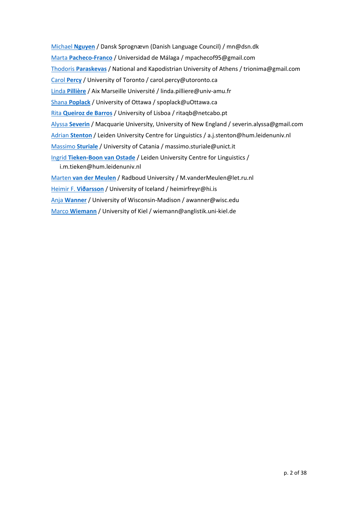Michael **Nguyen** / Dansk Sprognævn (Danish Language Council) / mn@dsn.dk Marta **Pacheco‐Franco** / Universidad de Málaga / mpachecof95@gmail.com Thodoris **Paraskevas** / National and Kapodistrian University of Athens / trionima@gmail.com Carol **Percy** / University of Toronto / carol.percy@utoronto.ca Linda **Pillière** / Aix Marseille Université / linda.pilliere@univ‐amu.fr Shana **Poplack** / University of Ottawa / spoplack@uOttawa.ca Rita **Queiroz de Barros** / University of Lisboa / ritaqb@netcabo.pt Alyssa **Severin** / Macquarie University, University of New England / severin.alyssa@gmail.com Adrian **Stenton** / Leiden University Centre for Linguistics / a.j.stenton@hum.leidenuniv.nl Massimo **Sturiale** / University of Catania / massimo.sturiale@unict.it Ingrid **Tieken‐Boon van Ostade** / Leiden University Centre for Linguistics / i.m.tieken@hum.leidenuniv.nl Marten **van der Meulen** / Radboud University / M.vanderMeulen@let.ru.nl Heimir F. **Viðarsson** / University of Iceland / heimirfreyr@hi.is Anja **Wanner** / University of Wisconsin‐Madison / awanner@wisc.edu

Marco **Wiemann** / University of Kiel / wiemann@anglistik.uni‐kiel.de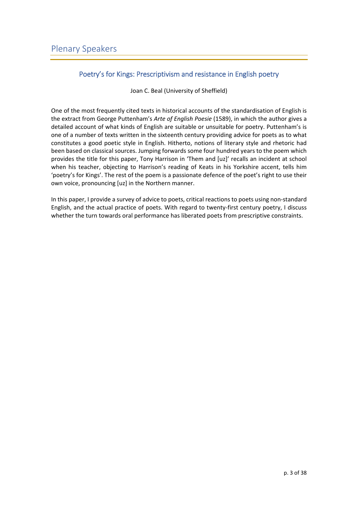# Poetry's for Kings: Prescriptivism and resistance in English poetry

Joan C. Beal (University of Sheffield)

One of the most frequently cited texts in historical accounts of the standardisation of English is the extract from George Puttenham's *Arte of English Poesie* (1589), in which the author gives a detailed account of what kinds of English are suitable or unsuitable for poetry. Puttenham's is one of a number of texts written in the sixteenth century providing advice for poets as to what constitutes a good poetic style in English. Hitherto, notions of literary style and rhetoric had been based on classical sources. Jumping forwards some four hundred years to the poem which provides the title for this paper, Tony Harrison in 'Them and [uz]' recalls an incident at school when his teacher, objecting to Harrison's reading of Keats in his Yorkshire accent, tells him 'poetry's for Kings'. The rest of the poem is a passionate defence of the poet's right to use their own voice, pronouncing [uz] in the Northern manner.

In this paper, I provide a survey of advice to poets, critical reactions to poets using non-standard English, and the actual practice of poets. With regard to twenty‐first century poetry, I discuss whether the turn towards oral performance has liberated poets from prescriptive constraints.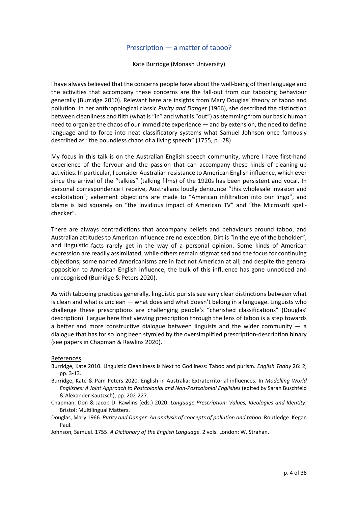## Prescription — a matter of taboo?

Kate Burridge (Monash University)

I have always believed that the concerns people have about the well‐being of their language and the activities that accompany these concerns are the fall‐out from our tabooing behaviour generally (Burridge 2010). Relevant here are insights from Mary Douglas' theory of taboo and pollution. In her anthropological classic *Purity and Danger* (1966), she described the distinction between cleanliness and filth (what is "in" and what is "out") as stemming from our basic human need to organize the chaos of our immediate experience — and by extension, the need to define language and to force into neat classificatory systems what Samuel Johnson once famously described as "the boundless chaos of a living speech" (1755, p. 28)

My focus in this talk is on the Australian English speech community, where I have first‐hand experience of the fervour and the passion that can accompany these kinds of cleaning-up activities. In particular, I consider Australian resistance to American English influence, which ever since the arrival of the "talkies" (talking films) of the 1920s has been persistent and vocal. In personal correspondence I receive, Australians loudly denounce "this wholesale invasion and exploitation"; vehement objections are made to "American infiltration into our lingo", and blame is laid squarely on "the invidious impact of American TV" and "the Microsoft spellchecker".

There are always contradictions that accompany beliefs and behaviours around taboo, and Australian attitudes to American influence are no exception. Dirt is "in the eye of the beholder", and linguistic facts rarely get in the way of a personal opinion. Some kinds of American expression are readily assimilated, while others remain stigmatised and the focus for continuing objections; some named Americanisms are in fact not American at all; and despite the general opposition to American English influence, the bulk of this influence has gone unnoticed and unrecognised (Burridge & Peters 2020).

As with tabooing practices generally, linguistic purists see very clear distinctions between what is clean and what is unclean — what does and what doesn't belong in a language. Linguists who challenge these prescriptions are challenging people's "cherished classifications" (Douglas' description). I argue here that viewing prescription through the lens of taboo is a step towards a better and more constructive dialogue between linguists and the wider community  $-$  a dialogue that has for so long been stymied by the oversimplified prescription‐description binary (see papers in Chapman & Rawlins 2020).

- Burridge, Kate 2010. Linguistic Cleanliness is Next to Godliness: Taboo and purism. *English Today* 26: 2, pp. 3‐13.
- Burridge, Kate & Pam Peters 2020. English in Australia: Extraterritorial influences. In *Modelling World Englishes: A Joint Approach to Postcolonial and Non‐Postcolonial Englishes* (edited by Sarah Buschfeld & Alexander Kautzsch), pp. 202‐227.
- Chapman, Don & Jacob D. Rawlins (eds.) 2020. *Language Prescription: Values, Ideologies and Identity*. Bristol: Multilingual Matters.
- Douglas, Mary 1966. *Purity and Danger: An analysis of concepts of pollution and taboo*. Routledge: Kegan Paul.
- Johnson, Samuel. 1755. *A Dictionary of the English Language*. 2 vols. London: W. Strahan.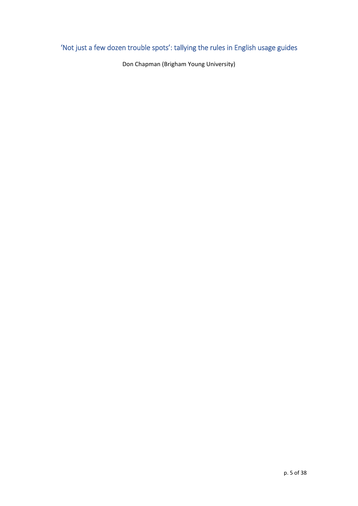# 'Not just a few dozen trouble spots': tallying the rules in English usage guides

Don Chapman (Brigham Young University)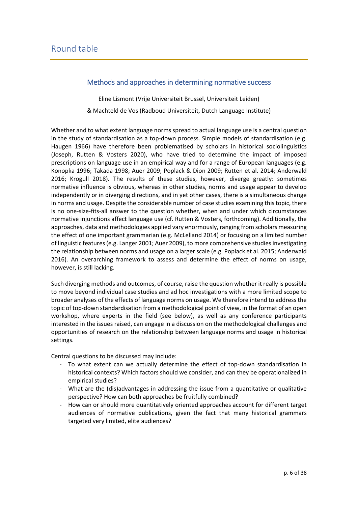## Methods and approaches in determining normative success

Eline Lismont (Vrije Universiteit Brussel, Universiteit Leiden) & Machteld de Vos (Radboud Universiteit, Dutch Language Institute)

Whether and to what extent language norms spread to actual language use is a central question in the study of standardisation as a top-down process. Simple models of standardisation (e.g. Haugen 1966) have therefore been problematised by scholars in historical sociolinguistics (Joseph, Rutten & Vosters 2020), who have tried to determine the impact of imposed prescriptions on language use in an empirical way and for a range of European languages (e.g. Konopka 1996; Takada 1998; Auer 2009; Poplack & Dion 2009; Rutten et al. 2014; Anderwald 2016; Krogull 2018). The results of these studies, however, diverge greatly: sometimes normative influence is obvious, whereas in other studies, norms and usage appear to develop independently or in diverging directions, and in yet other cases, there is a simultaneous change in norms and usage. Despite the considerable number of case studies examining thistopic, there is no one‐size‐fits‐all answer to the question whether, when and under which circumstances normative injunctions affect language use (cf. Rutten & Vosters, forthcoming). Additionally, the approaches, data and methodologies applied vary enormously, ranging from scholars measuring the effect of one important grammarian (e.g. McLelland 2014) or focusing on a limited number of linguistic features (e.g. Langer 2001; Auer 2009), to more comprehensive studies investigating the relationship between norms and usage on a larger scale (e.g. Poplack et al. 2015; Anderwald 2016). An overarching framework to assess and determine the effect of norms on usage, however, is still lacking.

Such diverging methods and outcomes, of course, raise the question whether it really is possible to move beyond individual case studies and ad hoc investigations with a more limited scope to broader analyses of the effects of language norms on usage. We therefore intend to address the topic of top-down standardisation from a methodological point of view, in the format of an open workshop, where experts in the field (see below), as well as any conference participants interested in the issues raised, can engage in a discussion on the methodological challenges and opportunities of research on the relationship between language norms and usage in historical settings.

Central questions to be discussed may include:

- ‐ To what extent can we actually determine the effect of top‐down standardisation in historical contexts? Which factors should we consider, and can they be operationalized in empirical studies?
- ‐ What are the (dis)advantages in addressing the issue from a quantitative or qualitative perspective? How can both approaches be fruitfully combined?
- ‐ How can or should more quantitatively oriented approaches account for different target audiences of normative publications, given the fact that many historical grammars targeted very limited, elite audiences?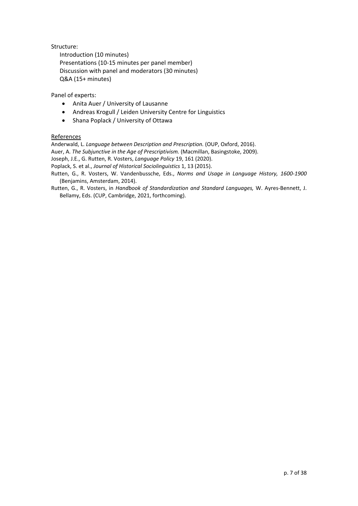Structure:

Introduction (10 minutes) Presentations (10‐15 minutes per panel member) Discussion with panel and moderators (30 minutes) Q&A (15+ minutes)

Panel of experts:

- Anita Auer / University of Lausanne
- Andreas Krogull / Leiden University Centre for Linguistics
- Shana Poplack / University of Ottawa

#### References

Anderwald, L. *Language between Description and Prescription.* (OUP, Oxford, 2016).

Auer, A. *The Subjunctive in the Age of Prescriptivism.* (Macmillan, Basingstoke, 2009).

Joseph, J.E., G. Rutten, R. Vosters, *Language Policy* 19, 161 (2020).

Poplack, S. et al., *Journal of Historical Sociolinguistics* 1, 13 (2015).

- Rutten, G., R. Vosters, W. Vandenbussche, Eds., *Norms and Usage in Language History, 1600‐1900* (Benjamins, Amsterdam, 2014).
- Rutten, G., R. Vosters, in *Handbook of Standardization and Standard Languages,* W. Ayres‐Bennett, J. Bellamy, Eds. (CUP, Cambridge, 2021, forthcoming).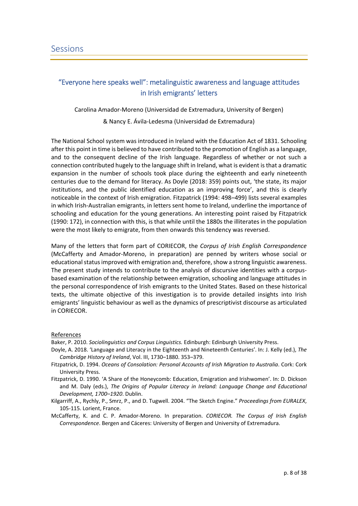# "Everyone here speaks well": metalinguistic awareness and language attitudes in Irish emigrants' letters

Carolina Amador‐Moreno (Universidad de Extremadura, University of Bergen)

& Nancy E. Ávila‐Ledesma (Universidad de Extremadura)

The National School system was introduced in Ireland with the Education Act of 1831. Schooling after this point in time is believed to have contributed to the promotion of English as a language, and to the consequent decline of the Irish language. Regardless of whether or not such a connection contributed hugely to the language shift in Ireland, what is evident is that a dramatic expansion in the number of schools took place during the eighteenth and early nineteenth centuries due to the demand for literacy. As Doyle (2018: 359) points out, 'the state, its major institutions, and the public identified education as an improving force', and this is clearly noticeable in the context of Irish emigration. Fitzpatrick (1994: 498–499) lists several examples in which Irish‐Australian emigrants, in letters sent home to Ireland, underline the importance of schooling and education for the young generations. An interesting point raised by Fitzpatrick (1990: 172), in connection with this, is that while until the 1880s the illiterates in the population were the most likely to emigrate, from then onwards this tendency was reversed.

Many of the letters that form part of CORIECOR, the *Corpus of Irish English Correspondence* (McCafferty and Amador‐Moreno, in preparation) are penned by writers whose social or educational status improved with emigration and, therefore, show a strong linguistic awareness. The present study intends to contribute to the analysis of discursive identities with a corpus‐ based examination of the relationship between emigration, schooling and language attitudes in the personal correspondence of Irish emigrants to the United States. Based on these historical texts, the ultimate objective of this investigation is to provide detailed insights into Irish emigrants' linguistic behaviour as well as the dynamics of prescriptivist discourse as articulated in CORIECOR.

#### References

Baker, P. 2010. *Sociolinguistics and Corpus Linguistics.* Edinburgh: Edinburgh University Press.

- Doyle, A. 2018. 'Language and Literacy in the Eighteenth and Nineteenth Centuries'. In: J. Kelly (ed.), *The Cambridge History of Ireland*, Vol. III, 1730–1880. 353–379.
- Fitzpatrick, D. 1994. *Oceans of Consolation: Personal Accounts of Irish Migration to Australia*. Cork: Cork University Press.
- Fitzpatrick, D. 1990. 'A Share of the Honeycomb: Education, Emigration and Irishwomen'. In: D. Dickson and M. Daly (eds.), *The Origins of Popular Literacy in Ireland: Language Change and Educational Development, 1700–1920*. Dublin.
- Kilgarriff, A., Rychly, P., Smrz, P., and D. Tugwell. 2004. "The Sketch Engine." *Proceedings from EURALEX*, 105‐115. Lorient, France.

McCafferty, K. and C. P. Amador‐Moreno. In preparation. *CORIECOR. The Corpus of Irish English Correspondence*. Bergen and Cáceres: University of Bergen and University of Extremadura.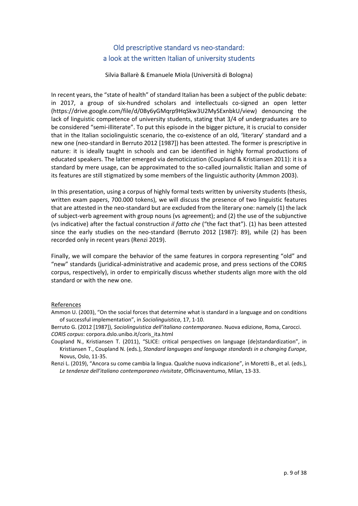# Old prescriptive standard vs neo‐standard: a look at the written Italian of university students

Silvia Ballarè & Emanuele Miola (Università di Bologna)

In recent years, the "state of health" of standard Italian has been a subject of the public debate: in 2017, a group of six-hundred scholars and intellectuals co-signed an open letter (https://drive.google.com/file/d/0By6yGMqrp9HqSkw3U2MySExnbkU/view) denouncing the lack of linguistic competence of university students, stating that 3/4 of undergraduates are to be considered "semi-illiterate". To put this episode in the bigger picture, it is crucial to consider that in the Italian sociolinguistic scenario, the co‐existence of an old, 'literary' standard and a new one (neo‐standard in Berruto 2012 [1987]) has been attested. The former is prescriptive in nature: it is ideally taught in schools and can be identified in highly formal productions of educated speakers. The latter emerged via demoticization (Coupland & Kristiansen 2011): it is a standard by mere usage, can be approximated to the so-called journalistic Italian and some of its features are still stigmatized by some members of the linguistic authority (Ammon 2003).

In this presentation, using a corpus of highly formal texts written by university students (thesis, written exam papers, 700.000 tokens), we will discuss the presence of two linguistic features that are attested in the neo-standard but are excluded from the literary one: namely (1) the lack of subject‐verb agreement with group nouns (vs agreement); and (2) the use of the subjunctive (vs indicative) after the factual construction *il fatto che* ("the fact that"). (1) has been attested since the early studies on the neo-standard (Berruto 2012 [1987]: 89), while (2) has been recorded only in recent years (Renzi 2019).

Finally, we will compare the behavior of the same features in corpora representing "old" and "new" standards (juridical‐administrative and academic prose, and press sections of the CORIS corpus, respectively), in order to empirically discuss whether students align more with the old standard or with the new one.

- Ammon U. (2003), "On the social forces that determine what is standard in a language and on conditions of successful implementation", in *Sociolinguistica*, 17, 1‐10.
- Berruto G. (2012 [1987]), *Sociolinguistica dell'italiano contemporaneo*. Nuova edizione, Roma, Carocci. *CORIS corpus*: corpora.dslo.unibo.it/coris\_ita.html
- Coupland N., Kristiansen T. (2011), "SLICE: critical perspectives on language (de)standardization", in Kristiansen T., Coupland N. (eds.), *Standard languages and language standards in a changing Europe*, Novus, Oslo, 11‐35.
- Renzi L. (2019), "Ancora su come cambia la lingua. Qualche nuova indicazione", in Moretti B., et al. (eds.), *Le tendenze dell'italiano contemporaneo rivisitate*, Officinaventumo, Milan, 13‐33.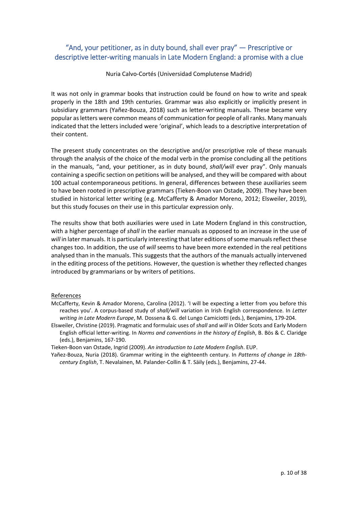# "And, your petitioner, as in duty bound, shall ever pray" — Prescriptive or descriptive letter‐writing manuals in Late Modern England: a promise with a clue

Nuria Calvo‐Cortés (Universidad Complutense Madrid)

It was not only in grammar books that instruction could be found on how to write and speak properly in the 18th and 19th centuries. Grammar was also explicitly or implicitly present in subsidiary grammars (Yañez-Bouza, 2018) such as letter-writing manuals. These became very popular asletters were common means of communication for people of all ranks. Many manuals indicated that the letters included were 'original', which leads to a descriptive interpretation of their content.

The present study concentrates on the descriptive and/or prescriptive role of these manuals through the analysis of the choice of the modal verb in the promise concluding all the petitions in the manuals, "and, your petitioner, as in duty bound, *shall/will* ever pray". Only manuals containing a specific section on petitions will be analysed, and they will be compared with about 100 actual contemporaneous petitions. In general, differences between these auxiliaries seem to have been rooted in prescriptive grammars (Tieken‐Boon van Ostade, 2009). They have been studied in historical letter writing (e.g. McCafferty & Amador Moreno, 2012; Elsweiler, 2019), but this study focuses on their use in this particular expression only.

The results show that both auxiliaries were used in Late Modern England in this construction, with a higher percentage of *shall* in the earlier manuals as opposed to an increase in the use of will in later manuals. It is particularly interesting that later editions of some manuals reflect these changes too. In addition, the use of *will* seems to have been more extended in the real petitions analysed than in the manuals. This suggests that the authors of the manuals actually intervened in the editing process of the petitions. However, the question is whether they reflected changes introduced by grammarians or by writers of petitions.

#### References

- McCafferty, Kevin & Amador Moreno, Carolina (2012). 'I will be expecting a letter from you before this reaches you'. A corpus‐based study of *shall/will* variation in Irish English correspondence. In *Letter writing in Late Modern Europe*, M. Dossena & G. del Lungo Camiciotti (eds.), Benjamins, 179‐204.
- Elsweiler, Christine (2019). Pragmatic and formulaic uses of *shall* and *will* in Older Scots and Early Modern English official letter‐writing. In *Norms and conventions in the history of English*, B. Bös & C. Claridge (eds.), Benjamins, 167‐190.

Tieken‐Boon van Ostade, Ingrid (2009). *An introduction to Late Modern English*. EUP.

Yañez‐Bouza, Nuria (2018). Grammar writing in the eighteenth century. In *Patterns of change in 18th‐ century English*, T. Nevalainen, M. Palander‐Collin & T. Säily (eds.), Benjamins, 27‐44.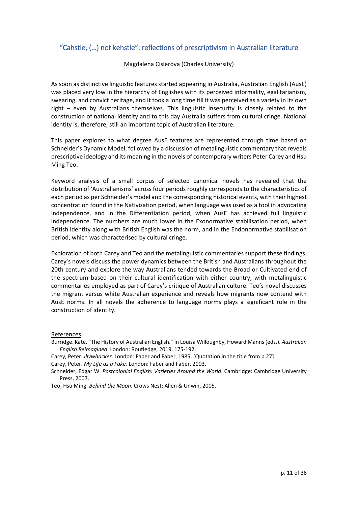# "Cahstle, (…) not kehstle": reflections of prescriptivism in Australian literature

Magdalena Cislerova (Charles University)

As soon as distinctive linguistic features started appearing in Australia, Australian English (AusE) was placed very low in the hierarchy of Englishes with its perceived informality, egalitarianism, swearing, and convict heritage, and it took a long time till it was perceived as a variety in its own right – even by Australians themselves. This linguistic insecurity is closely related to the construction of national identity and to this day Australia suffers from cultural cringe. National identity is, therefore, still an important topic of Australian literature.

This paper explores to what degree AusE features are represented through time based on Schneider's Dynamic Model, followed by a discussion of metalinguistic commentary that reveals prescriptive ideology and its meaning in the novels of contemporary writers Peter Carey and Hsu Ming Teo.

Keyword analysis of a small corpus of selected canonical novels has revealed that the distribution of 'Australianisms' across four periods roughly corresponds to the characteristics of each period as per Schneider's model and the corresponding historical events, with their highest concentration found in the Nativization period, when language was used as a tool in advocating independence, and in the Differentiation period, when AusE has achieved full linguistic independence. The numbers are much lower in the Exonormative stabilisation period, when British identity along with British English was the norm, and in the Endonormative stabilisation period, which was characterised by cultural cringe.

Exploration of both Carey and Teo and the metalinguistic commentaries support these findings. Carey's novels discuss the power dynamics between the British and Australians throughout the 20th century and explore the way Australians tended towards the Broad or Cultivated end of the spectrum based on their cultural identification with either country, with metalinguistic commentaries employed as part of Carey's critique of Australian culture. Teo's novel discusses the migrant versus white Australian experience and reveals how migrants now contend with AusE norms. In all novels the adherence to language norms plays a significant role in the construction of identity.

#### References

Burridge. Kate. "The History of Australian English." In Louisa Willoughby, Howard Manns(eds.). *Australian English Reimagined*. London: Routledge, 2019. 175‐192.

Carey, Peter. *Illywhacker*. London: Faber and Faber, 1985. [Quotation in the title from p.27]

Carey, Peter. *My Life as a Fake.* London: Faber and Faber, 2003.

- Schneider, Edgar W. *Postcolonial English: Varieties Around the World*. Cambridge: Cambridge University Press, 2007.
- Teo, Hsu Ming. *Behind the Moon*. Crows Nest: Allen & Unwin, 2005.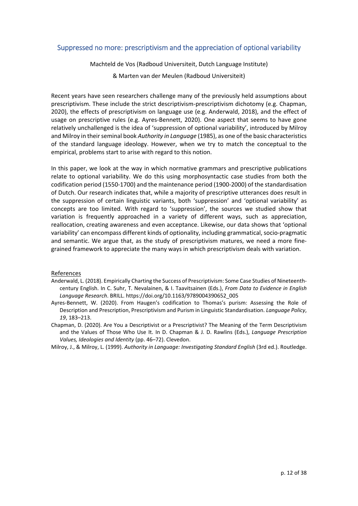## Suppressed no more: prescriptivism and the appreciation of optional variability

Machteld de Vos (Radboud Universiteit, Dutch Language Institute)

& Marten van der Meulen (Radboud Universiteit)

Recent years have seen researchers challenge many of the previously held assumptions about prescriptivism. These include the strict descriptivism‐prescriptivism dichotomy (e.g. Chapman, 2020), the effects of prescriptivism on language use (e.g. Anderwald, 2018), and the effect of usage on prescriptive rules (e.g. Ayres-Bennett, 2020). One aspect that seems to have gone relatively unchallenged is the idea of 'suppression of optional variability', introduced by Milroy and Milroy in their seminal book *Authority in Language* (1985), as one of the basic characteristics of the standard language ideology. However, when we try to match the conceptual to the empirical, problems start to arise with regard to this notion.

In this paper, we look at the way in which normative grammars and prescriptive publications relate to optional variability. We do this using morphosyntactic case studies from both the codification period (1550‐1700) and the maintenance period (1900‐2000) of the standardisation of Dutch. Our research indicates that, while a majority of prescriptive utterances does result in the suppression of certain linguistic variants, both 'suppression' and 'optional variability' as concepts are too limited. With regard to 'suppression', the sources we studied show that variation is frequently approached in a variety of different ways, such as appreciation, reallocation, creating awareness and even acceptance. Likewise, our data shows that 'optional variability' can encompass different kinds of optionality, including grammatical, socio‐pragmatic and semantic. We argue that, as the study of prescriptivism matures, we need a more fine‐ grained framework to appreciate the many ways in which prescriptivism deals with variation.

- Anderwald, L. (2018). Empirically Charting the Success of Prescriptivism: Some Case Studies of Nineteenth‐ century English. In C. Suhr, T. Nevalainen, & I. Taavitsainen (Eds.), *From Data to Evidence in English Language Research*. BRILL. https://doi.org/10.1163/9789004390652\_005
- Ayres-Bennett, W. (2020). From Haugen's codification to Thomas's purism: Assessing the Role of Description and Prescription, Prescriptivism and Purism in Linguistic Standardisation. *Language Policy*, *19*, 183–213.
- Chapman, D. (2020). Are You a Descriptivist or a Prescriptivist? The Meaning of the Term Descriptivism and the Values of Those Who Use It. In D. Chapman & J. D. Rawlins (Eds.), *Language Prescription Values, Ideologies and Identity* (pp. 46–72). Clevedon.
- Milroy, J., & Milroy, L. (1999). *Authority in Language: Investigating Standard English* (3rd ed.). Routledge.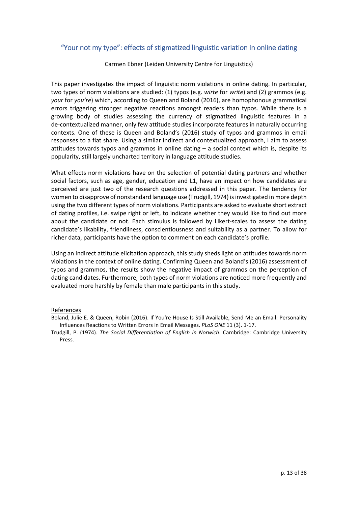## "Your not my type": effects of stigmatized linguistic variation in online dating

Carmen Ebner (Leiden University Centre for Linguistics)

This paper investigates the impact of linguistic norm violations in online dating. In particular, two types of norm violations are studied: (1) typos (e.g. *wirte* for *write*) and (2) grammos (e.g. *your* for *you're*) which, according to Queen and Boland (2016), are homophonous grammatical errors triggering stronger negative reactions amongst readers than typos. While there is a growing body of studies assessing the currency of stigmatized linguistic features in a de-contextualized manner, only few attitude studies incorporate features in naturally occurring contexts. One of these is Queen and Boland's (2016) study of typos and grammos in email responses to a flat share. Using a similar indirect and contextualized approach, I aim to assess attitudes towards typos and grammos in online dating – a social context which is, despite its popularity, still largely uncharted territory in language attitude studies.

What effects norm violations have on the selection of potential dating partners and whether social factors, such as age, gender, education and L1, have an impact on how candidates are perceived are just two of the research questions addressed in this paper. The tendency for women to disapprove of nonstandard language use (Trudgill, 1974) is investigated in more depth using the two different types of norm violations. Participants are asked to evaluate short extract of dating profiles, i.e. swipe right or left, to indicate whether they would like to find out more about the candidate or not. Each stimulus is followed by Likert‐scales to assess the dating candidate's likability, friendliness, conscientiousness and suitability as a partner. To allow for richer data, participants have the option to comment on each candidate's profile.

Using an indirect attitude elicitation approach, this study sheds light on attitudes towards norm violations in the context of online dating. Confirming Queen and Boland's (2016) assessment of typos and grammos, the results show the negative impact of grammos on the perception of dating candidates. Furthermore, both types of norm violations are noticed more frequently and evaluated more harshly by female than male participants in this study.

- Boland, Julie E. & Queen, Robin (2016). If You're House Is Still Available, Send Me an Email: Personality Influences Reactions to Written Errors in Email Messages. *PLoS ONE* 11 (3). 1‐17.
- Trudgill, P. (1974). *The Social Differentiation of English in Norwich*. Cambridge: Cambridge University Press.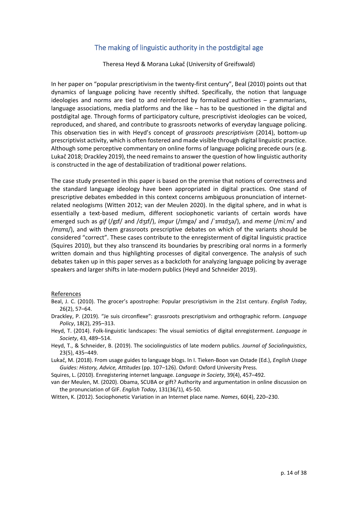## The making of linguistic authority in the postdigital age

Theresa Heyd & Morana Lukač (University of Greifswald)

In her paper on "popular prescriptivism in the twenty‐first century", Beal (2010) points out that dynamics of language policing have recently shifted. Specifically, the notion that language ideologies and norms are tied to and reinforced by formalized authorities – grammarians, language associations, media platforms and the like – has to be questioned in the digital and postdigital age. Through forms of participatory culture, prescriptivist ideologies can be voiced, reproduced, and shared, and contribute to grassroots networks of everyday language policing. This observation ties in with Heyd's concept of *grassroots prescriptivism* (2014), bottom‐up prescriptivist activity, which is often fostered and made visible through digital linguistic practice. Although some perceptive commentary on online forms of language policing precede ours (e.g. Lukač 2018; Drackley 2019), the need remainsto answer the question of how linguistic authority is constructed in the age of destabilization of traditional power relations.

The case study presented in this paper is based on the premise that notions of correctness and the standard language ideology have been appropriated in digital practices. One stand of prescriptive debates embedded in this context concerns ambiguous pronunciation of internet‐ related neologisms (Witten 2012; van der Meulen 2020). In the digital sphere, and in what is essentially a text-based medium, different sociophonetic variants of certain words have emerged such as *gif* (/gɪf/ and /dʒɪf/), *imgur* (/ɪmgə/ and /ˈɪmɪdʒə/), and *meme* (/miːm/ and /mɪmɪ/), and with them grassroots prescriptive debates on which of the variants should be considered "correct". These cases contribute to the enregisterment of digital linguistic practice (Squires 2010), but they also transcend its boundaries by prescribing oral norms in a formerly written domain and thus highlighting processes of digital convergence. The analysis of such debates taken up in this paper serves as a backcloth for analyzing language policing by average speakers and larger shifts in late‐modern publics (Heyd and Schneider 2019).

#### References

- Beal, J. C. (2010). The grocer's apostrophe: Popular prescriptivism in the 21st century. *English Today*, 26(2), 57–64.
- Drackley, P. (2019). "Je suis circonflexe": grassroots prescriptivism and orthographic reform. *Language Policy*, 18(2), 295–313.
- Heyd, T. (2014). Folk‐linguistic landscapes: The visual semiotics of digital enregisterment. *Language in Society*, 43, 489–514.
- Heyd, T., & Schneider, B. (2019). The sociolinguistics of late modern publics. *Journal of Sociolinguistics*, 23(5), 435–449.
- Lukač, M. (2018). From usage guides to language blogs. In I. Tieken‐Boon van Ostade (Ed.), *English Usage Guides: History, Advice, Attitudes* (pp. 107–126). Oxford: Oxford University Press.

Squires, L. (2010). Enregistering internet language. *Language in Society*, 39(4), 457–492.

van der Meulen, M. (2020). Obama, SCUBA or gift? Authority and argumentation in online discussion on the pronunciation of GIF. *English Today*, 131(36/1), 45‐50.

Witten, K. (2012). Sociophonetic Variation in an Internet place name. *Names*, 60(4), 220–230.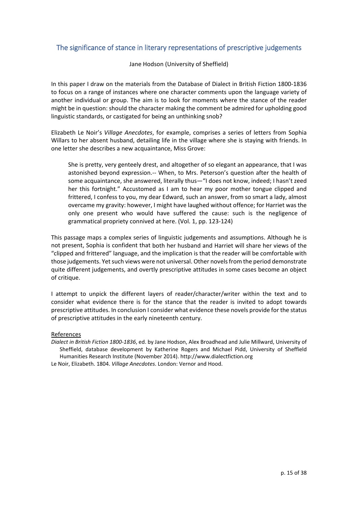## The significance of stance in literary representations of prescriptive judgements

Jane Hodson (University of Sheffield)

In this paper I draw on the materials from the Database of Dialect in British Fiction 1800‐1836 to focus on a range of instances where one character comments upon the language variety of another individual or group. The aim is to look for moments where the stance of the reader might be in question: should the character making the comment be admired for upholding good linguistic standards, or castigated for being an unthinking snob?

Elizabeth Le Noir's *Village Anecdotes*, for example, comprises a series of letters from Sophia Willars to her absent husband, detailing life in the village where she is staying with friends. In one letter she describes a new acquaintance, Miss Grove:

She is pretty, very genteely drest, and altogether of so elegant an appearance, that I was astonished beyond expression.‐‐ When, to Mrs. Peterson's question after the health of some acquaintance, she answered, literally thus—"I does not know, indeed; I hasn't zeed her this fortnight." Accustomed as I am to hear my poor mother tongue clipped and frittered, I confess to you, my dear Edward, such an answer, from so smart a lady, almost overcame my gravity: however, I might have laughed without offence; for Harriet was the only one present who would have suffered the cause: such is the negligence of grammatical propriety connived at here. (Vol. 1, pp. 123‐124)

This passage maps a complex series of linguistic judgements and assumptions. Although he is not present, Sophia is confident that both her husband and Harriet will share her views of the "clipped and frittered" language, and the implication is that the reader will be comfortable with those judgements. Yet such views were not universal. Other novels from the period demonstrate quite different judgements, and overtly prescriptive attitudes in some cases become an object of critique.

I attempt to unpick the different layers of reader/character/writer within the text and to consider what evidence there is for the stance that the reader is invited to adopt towards prescriptive attitudes. In conclusion I consider what evidence these novels provide for the status of prescriptive attitudes in the early nineteenth century.

#### References

*Dialect in British Fiction 1800‐1836*, ed. by Jane Hodson, Alex Broadhead and Julie Millward, University of Sheffield, database development by Katherine Rogers and Michael Pidd, University of Sheffield Humanities Research Institute (November 2014). http://www.dialectfiction.org Le Noir, Elizabeth. 1804. *Village Anecdotes*. London: Vernor and Hood.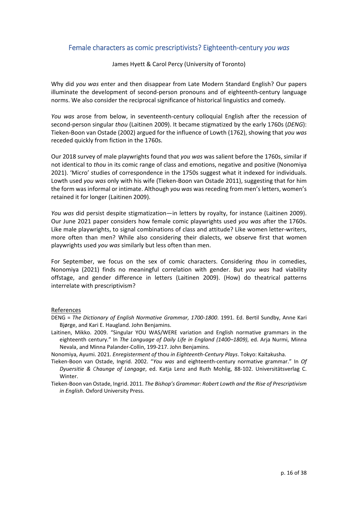## Female characters as comic prescriptivists? Eighteenth‐century *you was*

James Hyett & Carol Percy (University of Toronto)

Why did *you was* enter and then disappear from Late Modern Standard English? Our papers illuminate the development of second‐person pronouns and of eighteenth‐century language norms. We also consider the reciprocal significance of historical linguistics and comedy.

*You was* arose from below, in seventeenth‐century colloquial English after the recession of second‐person singular *thou* (Laitinen 2009). It became stigmatized by the early 1760s (*DENG*): Tieken‐Boon van Ostade (2002) argued for the influence of Lowth (1762), showing that *you was* receded quickly from fiction in the 1760s.

Our 2018 survey of male playwrights found that *you was* was salient before the 1760s, similar if not identical to *thou* in its comic range of class and emotions, negative and positive (Nonomiya 2021). 'Micro' studies of correspondence in the 1750s suggest what it indexed for individuals. Lowth used *you was* only with his wife (Tieken‐Boon van Ostade 2011), suggesting that for him the form was informal or intimate. Although *you was* was receding from men's letters, women's retained it for longer (Laitinen 2009).

*You was* did persist despite stigmatization—in letters by royalty, for instance (Laitinen 2009). Our June 2021 paper considers how female comic playwrights used *you was* after the 1760s. Like male playwrights, to signal combinations of class and attitude? Like women letter‐writers, more often than men? While also considering their dialects, we observe first that women playwrights used *you was* similarly but less often than men.

For September, we focus on the sex of comic characters. Considering *thou* in comedies, Nonomiya (2021) finds no meaningful correlation with gender. But *you was* had viability offstage, and gender difference in letters (Laitinen 2009). (How) do theatrical patterns interrelate with prescriptivism?

- DENG = *The Dictionary of English Normative Grammar, 1700‐1800*. 1991. Ed. Bertil Sundby, Anne Kari Bjørge, and Kari E. Haugland. John Benjamins.
- Laitinen, Mikko. 2009. "Singular YOU WAS/WERE variation and English normative grammars in the eighteenth century." In *The Language of Daily Life in England (1400–1809)*, ed. Arja Nurmi, Minna Nevala, and Minna Palander‐Collin, 199‐217. John Benjamins.
- Nonomiya, Ayumi. 2021. *Enregisterment of* thou *in Eighteenth‐Century Plays*. Tokyo: Kaitakusha.
- Tieken‐Boon van Ostade, Ingrid. 2002. "*You was* and eighteenth‐century normative grammar." In *Of Dyuersitie & Chaunge of Langage*, ed. Katja Lenz and Ruth Mohlig, 88‐102. Universitätsverlag C. Winter.
- Tieken‐Boon van Ostade, Ingrid. 2011. *The Bishop's Grammar: Robert Lowth and the Rise of Prescriptivism in English*. Oxford University Press.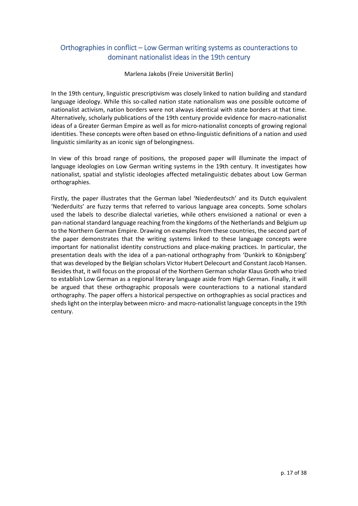# Orthographies in conflict – Low German writing systems as counteractions to dominant nationalist ideas in the 19th century

Marlena Jakobs (Freie Universität Berlin)

In the 19th century, linguistic prescriptivism was closely linked to nation building and standard language ideology. While this so-called nation state nationalism was one possible outcome of nationalist activism, nation borders were not always identical with state borders at that time. Alternatively, scholarly publications of the 19th century provide evidence for macro‐nationalist ideas of a Greater German Empire as well as for micro-nationalist concepts of growing regional identities. These concepts were often based on ethno-linguistic definitions of a nation and used linguistic similarity as an iconic sign of belongingness.

In view of this broad range of positions, the proposed paper will illuminate the impact of language ideologies on Low German writing systems in the 19th century. It investigates how nationalist, spatial and stylistic ideologies affected metalinguistic debates about Low German orthographies.

Firstly, the paper illustrates that the German label 'Niederdeutsch' and its Dutch equivalent 'Nederduits' are fuzzy terms that referred to various language area concepts. Some scholars used the labels to describe dialectal varieties, while others envisioned a national or even a pan‐national standard language reaching from the kingdoms of the Netherlands and Belgium up to the Northern German Empire. Drawing on examples from these countries, the second part of the paper demonstrates that the writing systems linked to these language concepts were important for nationalist identity constructions and place-making practices. In particular, the presentation deals with the idea of a pan‐national orthography from 'Dunkirk to Königsberg' that was developed by the Belgian scholars Victor Hubert Delecourt and Constant Jacob Hansen. Besides that, it will focus on the proposal of the Northern German scholar Klaus Groth who tried to establish Low German as a regional literary language aside from High German. Finally, it will be argued that these orthographic proposals were counteractions to a national standard orthography. The paper offers a historical perspective on orthographies as social practices and sheds light on the interplay between micro- and macro-nationalist language concepts in the 19th century.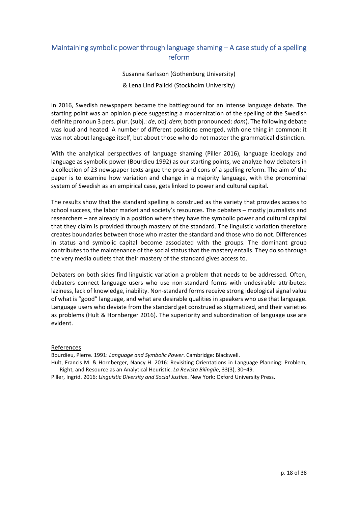# Maintaining symbolic power through language shaming – A case study of a spelling reform

Susanna Karlsson (Gothenburg University)

& Lena Lind Palicki (Stockholm University)

In 2016, Swedish newspapers became the battleground for an intense language debate. The starting point was an opinion piece suggesting a modernization of the spelling of the Swedish definite pronoun 3 pers. plur. (subj.: *de*, obj: *dem*; both pronounced: *dom*). The following debate was loud and heated. A number of different positions emerged, with one thing in common: it was not about language itself, but about those who do not master the grammatical distinction.

With the analytical perspectives of language shaming (Piller 2016), language ideology and language as symbolic power (Bourdieu 1992) as our starting points, we analyze how debaters in a collection of 23 newspaper texts argue the pros and cons of a spelling reform. The aim of the paper is to examine how variation and change in a majority language, with the pronominal system of Swedish as an empirical case, gets linked to power and cultural capital.

The results show that the standard spelling is construed as the variety that provides access to school success, the labor market and society's resources. The debaters – mostly journalists and researchers – are already in a position where they have the symbolic power and cultural capital that they claim is provided through mastery of the standard. The linguistic variation therefore creates boundaries between those who master the standard and those who do not. Differences in status and symbolic capital become associated with the groups. The dominant group contributes to the maintenance of the social status that the mastery entails. They do so through the very media outlets that their mastery of the standard gives access to.

Debaters on both sides find linguistic variation a problem that needs to be addressed. Often, debaters connect language users who use non-standard forms with undesirable attributes: laziness, lack of knowledge, inability. Non‐standard forms receive strong ideological signal value of what is "good" language, and what are desirable qualities in speakers who use that language. Language users who deviate from the standard get construed as stigmatized, and their varieties as problems (Hult & Hornberger 2016). The superiority and subordination of language use are evident.

#### References

Bourdieu, Pierre. 1991: *Language and Symbolic Power*. Cambridge: Blackwell.

Hult, Francis M. & Hornberger, Nancy H. 2016: Revisiting Orientations in Language Planning: Problem, Right, and Resource as an Analytical Heuristic. *La Revista Bilingüe*, 33(3), 30–49.

Piller, Ingrid. 2016: *Linguistic Diversity and Social Justice*. New York: Oxford University Press.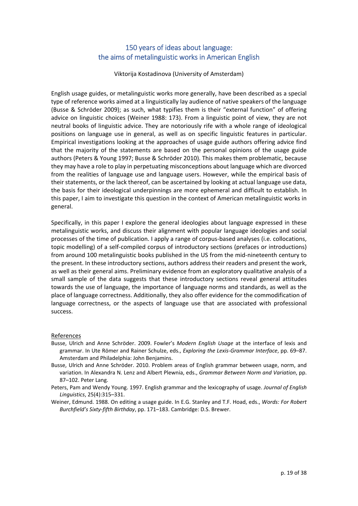# 150 years of ideas about language: the aims of metalinguistic works in American English

Viktorija Kostadinova (University of Amsterdam)

English usage guides, or metalinguistic works more generally, have been described as a special type of reference works aimed at a linguistically lay audience of native speakers of the language (Busse & Schröder 2009); as such, what typifies them is their "external function" of offering advice on linguistic choices (Weiner 1988: 173). From a linguistic point of view, they are not neutral books of linguistic advice. They are notoriously rife with a whole range of ideological positions on language use in general, as well as on specific linguistic features in particular. Empirical investigations looking at the approaches of usage guide authors offering advice find that the majority of the statements are based on the personal opinions of the usage guide authors (Peters & Young 1997; Busse & Schröder 2010). This makes them problematic, because they may have a role to play in perpetuating misconceptions about language which are divorced from the realities of language use and language users. However, while the empirical basis of their statements, or the lack thereof, can be ascertained by looking at actual language use data, the basis for their ideological underpinnings are more ephemeral and difficult to establish. In this paper, I aim to investigate this question in the context of American metalinguistic works in general.

Specifically, in this paper I explore the general ideologies about language expressed in these metalinguistic works, and discuss their alignment with popular language ideologies and social processes of the time of publication. I apply a range of corpus‐based analyses (i.e. collocations, topic modelling) of a self‐compiled corpus of introductory sections (prefaces or introductions) from around 100 metalinguistic books published in the US from the mid-nineteenth century to the present. In these introductory sections, authors address their readers and present the work, as well as their general aims. Preliminary evidence from an exploratory qualitative analysis of a small sample of the data suggests that these introductory sections reveal general attitudes towards the use of language, the importance of language norms and standards, as well as the place of language correctness. Additionally, they also offer evidence for the commodification of language correctness, or the aspects of language use that are associated with professional success.

- Busse, Ulrich and Anne Schröder. 2009. Fowler's *Modern English Usage* at the interface of lexis and grammar. In Ute Römer and Rainer Schulze, eds., *Exploring the Lexis‐Grammar Interface*, pp. 69–87. Amsterdam and Philadelphia: John Benjamins.
- Busse, Ulrich and Anne Schröder. 2010. Problem areas of English grammar between usage, norm, and variation. In Alexandra N. Lenz and Albert Plewnia, eds., *Grammar Between Norm and Variation*, pp. 87–102. Peter Lang.
- Peters, Pam and Wendy Young. 1997. English grammar and the lexicography of usage. *Journal of English Linguistics*, 25(4):315–331.
- Weiner, Edmund. 1988. On editing a usage guide. In E.G. Stanley and T.F. Hoad, eds., *Words: For Robert Burchfield's Sixty‐fifth Birthday*, pp. 171–183. Cambridge: D.S. Brewer.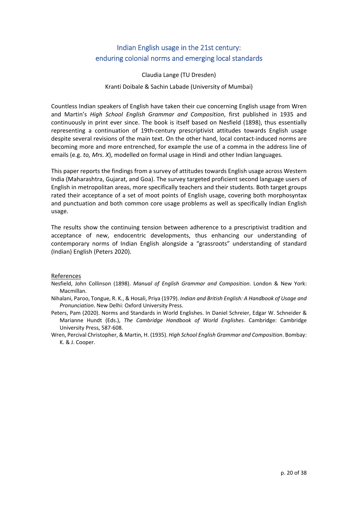# Indian English usage in the 21st century: enduring colonial norms and emerging local standards

Claudia Lange (TU Dresden)

Kranti Doibale & Sachin Labade (University of Mumbai)

Countless Indian speakers of English have taken their cue concerning English usage from Wren and Martin's *High School English Grammar and Composition*, first published in 1935 and continuously in print ever since. The book is itself based on Nesfield (1898), thus essentially representing a continuation of 19th‐century prescriptivist attitudes towards English usage despite several revisions of the main text. On the other hand, local contact-induced norms are becoming more and more entrenched, for example the use of a comma in the address line of emails (e.g. *to, Mrs. X*), modelled on formal usage in Hindi and other Indian languages.

This paper reports the findings from a survey of attitudes towards English usage across Western India (Maharashtra, Gujarat, and Goa). The survey targeted proficient second language users of English in metropolitan areas, more specifically teachers and their students. Both target groups rated their acceptance of a set of moot points of English usage, covering both morphosyntax and punctuation and both common core usage problems as well as specifically Indian English usage.

The results show the continuing tension between adherence to a prescriptivist tradition and acceptance of new, endocentric developments, thus enhancing our understanding of contemporary norms of Indian English alongside a "grassroots" understanding of standard (Indian) English (Peters 2020).

- Nesfield, John Collinson (1898). *Manual of English Grammar and Composition*. London & New York: Macmillan.
- Nihalani, Paroo, Tongue, R. K., & Hosali, Priya (1979). *Indian and British English: A Handbook of Usage and Pronunciation*. New Delhi: Oxford University Press.
- Peters, Pam (2020). Norms and Standards in World Englishes. In Daniel Schreier, Edgar W. Schneider & Marianne Hundt (Eds.), *The Cambridge Handbook of World Englishes*. Cambridge: Cambridge University Press, 587‐608.
- Wren, Percival Christopher, & Martin, H. (1935). *High School English Grammar and Composition*. Bombay: K. & J. Cooper.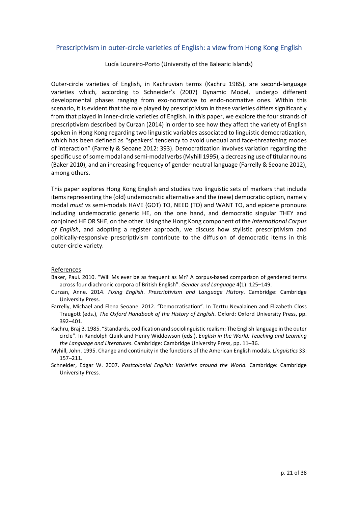## Prescriptivism in outer‐circle varieties of English: a view from Hong Kong English

Lucía Loureiro‐Porto (University of the Balearic Islands)

Outer‐circle varieties of English, in Kachruvian terms (Kachru 1985), are second‐language varieties which, according to Schneider's (2007) Dynamic Model, undergo different developmental phases ranging from exo‐normative to endo‐normative ones. Within this scenario, it is evident that the role played by prescriptivism in these varieties differs significantly from that played in inner-circle varieties of English. In this paper, we explore the four strands of prescriptivism described by Curzan (2014) in order to see how they affect the variety of English spoken in Hong Kong regarding two linguistic variables associated to linguistic democratization, which has been defined as "speakers' tendency to avoid unequal and face-threatening modes of interaction" (Farrelly & Seoane 2012: 393). Democratization involves variation regarding the specific use of some modal and semi-modal verbs (Myhill 1995), a decreasing use of titular nouns (Baker 2010), and an increasing frequency of gender‐neutral language (Farrelly & Seoane 2012), among others.

This paper explores Hong Kong English and studies two linguistic sets of markers that include items representing the (old) undemocratic alternative and the (new) democratic option, namely modal *must* vs semi‐modals HAVE (GOT) TO, NEED (TO) and WANT TO, and epicene pronouns including undemocratic generic HE, on the one hand, and democratic singular THEY and conjoined HE OR SHE, on the other. Using the Hong Kong component of the *International Corpus of English*, and adopting a register approach, we discuss how stylistic prescriptivism and politically-responsive prescriptivism contribute to the diffusion of democratic items in this outer‐circle variety.

- Baker, Paul. 2010. "Will Ms ever be as frequent as Mr? A corpus‐based comparison of gendered terms across four diachronic corpora of British English". *Gender and Language* 4(1): 125–149.
- Curzan, Anne. 2014. *Fixing English*. *Prescriptivism and Language History*. Cambridge: Cambridge University Press.
- Farrelly, Michael and Elena Seoane. 2012. "Democratisation". In Terttu Nevalainen and Elizabeth Closs Traugott (eds.), *The Oxford Handbook of the History of English*. Oxford: Oxford University Press, pp. 392–401.
- Kachru, Braj B. 1985. "Standards, codification and sociolinguistic realism: The English language in the outer circle". In Randolph Quirk and Henry Widdowson (eds.), *English in the World: Teaching and Learning the Language and Literatures*. Cambridge: Cambridge University Press, pp. 11–36.
- Myhill, John. 1995. Change and continuity in the functions of the American English modals. *Linguistics* 33: 157–211.
- Schneider, Edgar W. 2007. *Postcolonial English: Varieties around the World.* Cambridge: Cambridge University Press.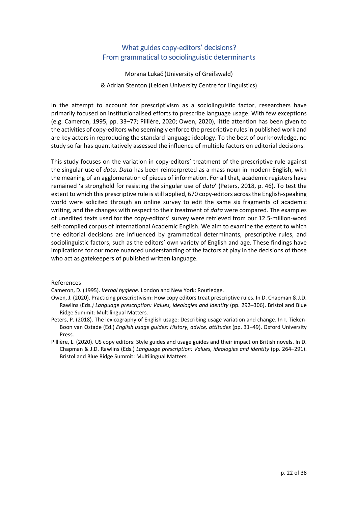# What guides copy-editors' decisions? From grammatical to sociolinguistic determinants

Morana Lukač (University of Greifswald) & Adrian Stenton (Leiden University Centre for Linguistics)

In the attempt to account for prescriptivism as a sociolinguistic factor, researchers have primarily focused on institutionalised efforts to prescribe language usage. With few exceptions (e.g. Cameron, 1995, pp. 33–77; Pillière, 2020; Owen, 2020), little attention has been given to the activities of copy-editors who seemingly enforce the prescriptive rules in published work and are key actors in reproducing the standard language ideology. To the best of our knowledge, no study so far has quantitatively assessed the influence of multiple factors on editorial decisions.

This study focuses on the variation in copy-editors' treatment of the prescriptive rule against the singular use of *data*. *Data* has been reinterpreted as a mass noun in modern English, with the meaning of an agglomeration of pieces of information. For all that, academic registers have remained 'a stronghold for resisting the singular use of *data*' (Peters, 2018, p. 46). To test the extent to which this prescriptive rule is still applied, 670 copy-editors across the English-speaking world were solicited through an online survey to edit the same six fragments of academic writing, and the changes with respect to their treatment of *data* were compared. The examples of unedited texts used for the copy‐editors' survey were retrieved from our 12.5‐million‐word self-compiled corpus of International Academic English. We aim to examine the extent to which the editorial decisions are influenced by grammatical determinants, prescriptive rules, and sociolinguistic factors, such as the editors' own variety of English and age. These findings have implications for our more nuanced understanding of the factors at play in the decisions of those who act as gatekeepers of published written language.

#### References

Cameron, D. (1995). *Verbal hygiene*. London and New York: Routledge.

- Owen, J. (2020). Practicing prescriptivism: How copy editors treat prescriptive rules. In D. Chapman & J.D. Rawlins (Eds*.) Language prescription: Values, ideologies and identity* (pp. 292–306). Bristol and Blue Ridge Summit: Multilingual Matters.
- Peters, P. (2018). The lexicography of English usage: Describing usage variation and change. In I. Tieken‐ Boon van Ostade (Ed.) *English usage guides: History, advice, attitudes* (pp. 31–49). Oxford University Press.
- Pillière, L. (2020). US copy editors: Style guides and usage guides and their impact on British novels. In D. Chapman & J.D. Rawlins (Eds.) *Language prescription: Values, ideologies and identity* (pp. 264–291). Bristol and Blue Ridge Summit: Multilingual Matters.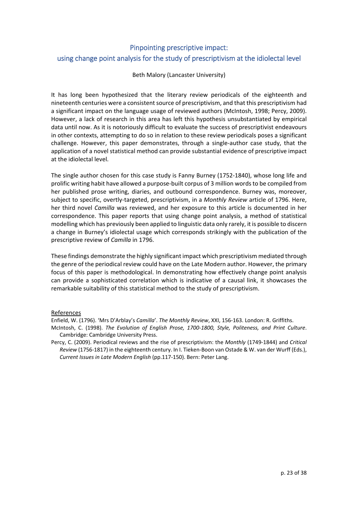# Pinpointing prescriptive impact: using change point analysis for the study of prescriptivism at the idiolectal level

#### Beth Malory (Lancaster University)

It has long been hypothesized that the literary review periodicals of the eighteenth and nineteenth centuries were a consistent source of prescriptivism, and that this prescriptivism had a significant impact on the language usage of reviewed authors (McIntosh, 1998; Percy, 2009). However, a lack of research in this area has left this hypothesis unsubstantiated by empirical data until now. As it is notoriously difficult to evaluate the success of prescriptivist endeavours in other contexts, attempting to do so in relation to these review periodicals poses a significant challenge. However, this paper demonstrates, through a single‐author case study, that the application of a novel statistical method can provide substantial evidence of prescriptive impact at the idiolectal level.

The single author chosen for this case study is Fanny Burney (1752‐1840), whose long life and prolific writing habit have allowed a purpose-built corpus of 3 million words to be compiled from her published prose writing, diaries, and outbound correspondence. Burney was, moreover, subject to specific, overtly‐targeted, prescriptivism, in a *Monthly Review* article of 1796. Here, her third novel *Camilla* was reviewed, and her exposure to this article is documented in her correspondence. This paper reports that using change point analysis, a method of statistical modelling which has previously been applied to linguistic data only rarely, it is possible to discern a change in Burney's idiolectal usage which corresponds strikingly with the publication of the prescriptive review of *Camilla* in 1796.

These findings demonstrate the highly significant impact which prescriptivism mediated through the genre of the periodical review could have on the Late Modern author. However, the primary focus of this paper is methodological. In demonstrating how effectively change point analysis can provide a sophisticated correlation which is indicative of a causal link, it showcases the remarkable suitability of this statistical method to the study of prescriptivism.

#### References

Enfield, W. (1796). 'Mrs D'Arblay's *Camilla*'. *The Monthly Review*, XXI, 156‐163. London: R. Griffiths.

- McIntosh, C. (1998). *The Evolution of English Prose, 1700‐1800, Style, Politeness, and Print Culture*. Cambridge: Cambridge University Press.
- Percy, C. (2009). Periodical reviews and the rise of prescriptivism: the *Monthly* (1749‐1844) and *Critical Review* (1756‐1817) in the eighteenth century. In I. Tieken‐Boon van Ostade & W. van der Wurff (Eds.), *Current Issues in Late Modern English* (pp.117‐150). Bern: Peter Lang.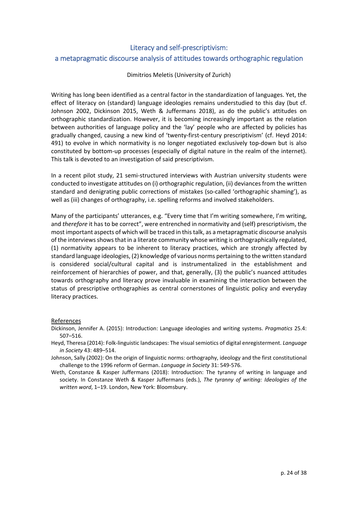# Literacy and self‐prescriptivism: a metapragmatic discourse analysis of attitudes towards orthographic regulation

#### Dimitrios Meletis (University of Zurich)

Writing has long been identified as a central factor in the standardization of languages. Yet, the effect of literacy on (standard) language ideologies remains understudied to this day (but cf. Johnson 2002, Dickinson 2015, Weth & Juffermans 2018), as do the public's attitudes on orthographic standardization. However, it is becoming increasingly important as the relation between authorities of language policy and the 'lay' people who are affected by policies has gradually changed, causing a new kind of 'twenty‐first‐century prescriptivism' (cf. Heyd 2014: 491) to evolve in which normativity is no longer negotiated exclusively top-down but is also constituted by bottom‐up processes (especially of digital nature in the realm of the internet). This talk is devoted to an investigation of said prescriptivism.

In a recent pilot study, 21 semi‐structured interviews with Austrian university students were conducted to investigate attitudes on (i) orthographic regulation, (ii) deviances from the written standard and denigrating public corrections of mistakes (so-called 'orthographic shaming'), as well as (iii) changes of orthography, i.e. spelling reforms and involved stakeholders.

Many of the participants' utterances, e.g. "Every time that I'm writing somewhere, I'm writing, and *therefore* it has to be correct", were entrenched in normativity and (self) prescriptivism, the mostimportant aspects of which will be traced in thistalk, as a metapragmatic discourse analysis of the interviews shows that in a literate community whose writing is orthographically regulated, (1) normativity appears to be inherent to literacy practices, which are strongly affected by standard language ideologies, (2) knowledge of various norms pertaining to the written standard is considered social/cultural capital and is instrumentalized in the establishment and reinforcement of hierarchies of power, and that, generally, (3) the public's nuanced attitudes towards orthography and literacy prove invaluable in examining the interaction between the status of prescriptive orthographies as central cornerstones of linguistic policy and everyday literacy practices.

- Dickinson, Jennifer A. (2015): Introduction: Language ideologies and writing systems. *Pragmatics* 25.4: 507–516.
- Heyd, Theresa (2014): Folk‐linguistic landscapes: The visual semiotics of digital enregisterment. *Language in Society* 43: 489–514.
- Johnson, Sally (2002): On the origin of linguistic norms: orthography, ideology and the first constitutional challenge to the 1996 reform of German. *Language in Society* 31: 549‐576.
- Weth, Constanze & Kasper Juffermans (2018): Introduction: The tyranny of writing in language and society. In Constanze Weth & Kasper Juffermans (eds.), *The tyranny of writing: Ideologies of the written word*, 1–19. London, New York: Bloomsbury.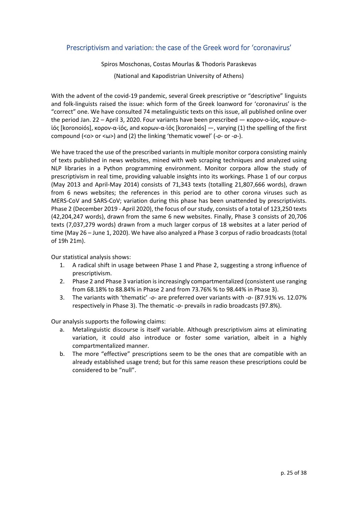## Prescriptivism and variation: the case of the Greek word for 'coronavirus'

Spiros Moschonas, Costas Mourlas & Thodoris Paraskevas (National and Kapodistrian University of Athens)

With the advent of the covid-19 pandemic, several Greek prescriptive or "descriptive" linguists and folk‐linguists raised the issue: which form of the Greek loanword for 'coronavirus' is the "correct" one. We have consulted 74 metalinguistic texts on this issue, all published online over the period Jan. 22 – April 3, 2020. Four variants have been prescribed — κορον-ο-ϊός, κορων-οϊός [koronoiós], κορον‐α‐ϊός, and κορων‐α‐ϊός [koronaiós] —, varying (1) the spelling of the first compound (<o> or <ω>) and (2) the linking 'thematic vowel' (*‐o*‐ or *‐a‐*).

We have traced the use of the prescribed variants in multiple monitor corpora consisting mainly of texts published in news websites, mined with web scraping techniques and analyzed using NLP libraries in a Python programming environment. Monitor corpora allow the study of prescriptivism in real time, providing valuable insights into its workings. Phase 1 of our corpus (May 2013 and April‐May 2014) consists of 71,343 texts (totalling 21,807,666 words), drawn from 6 news websites; the references in this period are to other corona viruses such as MERS‐CoV and SARS‐CoV; variation during this phase has been unattended by prescriptivists. Phase 2 (December 2019 ‐ April 2020), the focus of our study, consists of a total of 123,250 texts (42,204,247 words), drawn from the same 6 new websites. Finally, Phase 3 consists of 20,706 texts (7,037,279 words) drawn from a much larger corpus of 18 websites at a later period of time (May 26 – June 1, 2020). We have also analyzed a Phase 3 corpus of radio broadcasts (total of 19h 21m).

Our statistical analysis shows:

- 1. A radical shift in usage between Phase 1 and Phase 2, suggesting a strong influence of prescriptivism.
- 2. Phase 2 and Phase 3 variation is increasingly compartmentalized (consistent use ranging from 68.18% to 88.84% in Phase 2 and from 73.76% % to 98.44% in Phase 3).
- 3. The variants with 'thematic' *‐o‐* are preferred over variants with *‐a‐* (87.91% vs. 12.07% respectively in Phase 3). The thematic *‐o‐* prevails in radio broadcasts (97.8%).

Our analysis supports the following claims:

- a. Metalinguistic discourse is itself variable. Although prescriptivism aims at eliminating variation, it could also introduce or foster some variation, albeit in a highly compartmentalized manner.
- b. The more "effective" prescriptions seem to be the ones that are compatible with an already established usage trend; but for this same reason these prescriptions could be considered to be "null".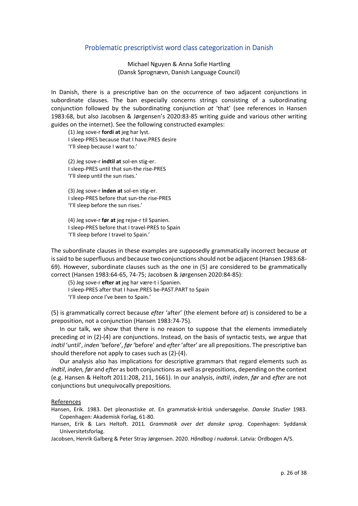#### Problematic prescriptivist word class categorization in Danish

Michael Nguyen & Anna Sofie Hartling (Dansk Sprognævn, Danish Language Council)

In Danish, there is a prescriptive ban on the occurrence of two adjacent conjunctions in subordinate clauses. The ban especially concerns strings consisting of a subordinating conjunction followed by the subordinating conjunction *at* 'that' (see references in Hansen 1983:68, but also Jacobsen & Jørgensen's 2020:83‐85 writing guide and various other writing guides on the internet). See the following constructed examples:

(1) Jeg sove‐r **fordi at** jeg har lyst. I sleep‐PRES because that I have.PRES desire 'I'll sleep because I want to.'

(2) Jeg sove‐r **indtil at** sol‐en stig‐er. I sleep‐PRES until that sun‐the rise‐PRES 'I'll sleep until the sun rises.'

(3) Jeg sove‐r **inden at** sol‐en stig‐er. I sleep‐PRES before that sun‐the rise‐PRES 'I'll sleep before the sun rises.'

(4) Jeg sove‐r **før at** jeg rejse‐r til Spanien. I sleep‐PRES before that I travel‐PRES to Spain 'I'll sleep before I travel to Spain.'

The subordinate clauses in these examples are supposedly grammatically incorrect because *at* is said to be superfluous and because two conjunctions should not be adjacent (Hansen 1983:68-69). However, subordinate clauses such as the one in (5) are considered to be grammatically correct (Hansen 1983:64‐65, 74‐75; Jacobsen & Jørgensen 2020:84‐85):

(5) Jeg sove‐r **efter at** jeg har være‐t i Spanien. I sleep‐PRES after that I have.PRES be‐PAST.PART to Spain 'I'll sleep once I've been to Spain.'

(5) is grammatically correct because *efter* 'after' (the element before *at*) is considered to be a preposition, not a conjunction (Hansen 1983:74‐75).

In our talk, we show that there is no reason to suppose that the elements immediately preceding *at* in (2)‐(4) are conjunctions. Instead, on the basis of syntactic tests, we argue that *indtil* 'until', *inden* 'before', *før* 'before' and *efter* 'after' are all prepositions. The prescriptive ban should therefore not apply to cases such as (2)‐(4).

Our analysis also has implications for descriptive grammars that regard elements such as *indtil*, *inden, før* and *efter* as both conjunctions as well as prepositions, depending on the context (e.g. Hansen & Heltoft 2011:208, 211, 1661). In our analysis, *indtil*, *inden*, *før* and *efter* are not conjunctions but unequivocally prepositions.

#### References

Hansen, Erik. 1983. Det pleonastiske *at*. En grammatisk‐kritisk undersøgelse. *Danske Studier* 1983. Copenhagen: Akademisk Forlag, 61‐80.

Hansen, Erik & Lars Heltoft. 2011*. Grammatik over det danske sprog*. Copenhagen: Syddansk Universitetsforlag.

Jacobsen, Henrik Galberg & Peter Stray Jørgensen. 2020. *Håndbog i nudansk*. Latvia: Ordbogen A/S.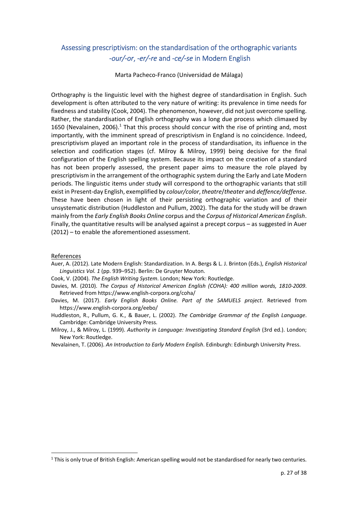# Assessing prescriptivism: on the standardisation of the orthographic variants ‐*our/‐or*, *‐er/‐re* and *‐ce/‐se* in Modern English

Marta Pacheco‐Franco (Universidad de Málaga)

Orthography is the linguistic level with the highest degree of standardisation in English. Such development is often attributed to the very nature of writing: its prevalence in time needs for fixedness and stability (Cook, 2004). The phenomenon, however, did not just overcome spelling. Rather, the standardisation of English orthography was a long due process which climaxed by 1650 (Nevalainen, 2006).<sup>1</sup> That this process should concur with the rise of printing and, most importantly, with the imminent spread of prescriptivism in England is no coincidence. Indeed, prescriptivism played an important role in the process of standardisation, its influence in the selection and codification stages (cf. Milroy & Milroy, 1999) being decisive for the final configuration of the English spelling system. Because its impact on the creation of a standard has not been properly assessed, the present paper aims to measure the role played by prescriptivism in the arrangement of the orthographic system during the Early and Late Modern periods. The linguistic items under study will correspond to the orthographic variants that still exist in Present‐day English, exemplified by *colour/color*, *theatre*/*theater* and *deffence/deffense*. These have been chosen in light of their persisting orthographic variation and of their unsystematic distribution (Huddleston and Pullum, 2002). The data for the study will be drawn mainly from the *Early English Books Online* corpus and the *Corpus of Historical American English*. Finally, the quantitative results will be analysed against a precept corpus – as suggested in Auer (2012) – to enable the aforementioned assessment.

#### References

- Auer, A. (2012). Late Modern English: Standardization. In A. Bergs & L. J. Brinton (Eds.), *English Historical Linguistics Vol. 1* (pp. 939–952). Berlin: De Gruyter Mouton.
- Cook, V. (2004). *The English Writing System*. London; New York: Routledge.
- Davies, M. (2010). *The Corpus of Historical American English (COHA): 400 million words, 1810‐2009*. Retrieved from https://www.english‐corpora.org/coha/
- Davies, M. (2017). *Early English Books Online. Part of the SAMUELS project*. Retrieved from https://www.english‐corpora.org/eebo/
- Huddleston, R., Pullum, G. K., & Bauer, L. (2002). *The Cambridge Grammar of the English Language*. Cambridge: Cambridge University Press.
- Milroy, J., & Milroy, L. (1999). *Authority in Language: Investigating Standard English* (3rd ed.). London; New York: Routledge.
- Nevalainen, T. (2006). *An Introduction to Early Modern English*. Edinburgh: Edinburgh University Press.

<sup>1</sup> This is only true of British English: American spelling would not be standardised for nearly two centuries.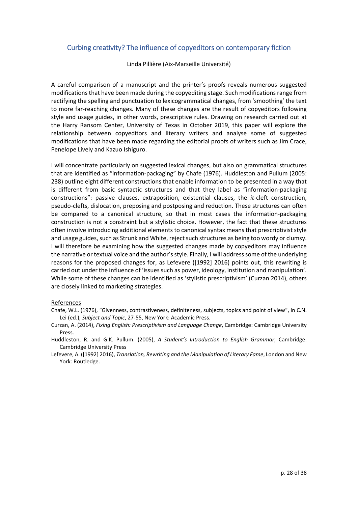## Curbing creativity? The influence of copyeditors on contemporary fiction

Linda Pillière (Aix‐Marseille Université)

A careful comparison of a manuscript and the printer's proofs reveals numerous suggested modifications that have been made during the copyediting stage. Such modifications range from rectifying the spelling and punctuation to lexicogrammatical changes, from 'smoothing' the text to more far-reaching changes. Many of these changes are the result of copyeditors following style and usage guides, in other words, prescriptive rules. Drawing on research carried out at the Harry Ransom Center, University of Texas in October 2019, this paper will explore the relationship between copyeditors and literary writers and analyse some of suggested modifications that have been made regarding the editorial proofs of writers such as Jim Crace, Penelope Lively and Kazuo Ishiguro.

I will concentrate particularly on suggested lexical changes, but also on grammatical structures that are identified as "information‐packaging" by Chafe (1976). Huddleston and Pullum (2005: 238) outline eight different constructions that enable information to be presented in a way that is different from basic syntactic structures and that they label as "information‐packaging constructions": passive clauses, extraposition, existential clauses, the *it*-cleft construction, pseudo‐clefts, dislocation, preposing and postposing and reduction. These structures can often be compared to a canonical structure, so that in most cases the information‐packaging construction is not a constraint but a stylistic choice. However, the fact that these structures often involve introducing additional elements to canonical syntax means that prescriptivist style and usage guides, such as Strunk and White, reject such structures as being too wordy or clumsy. I will therefore be examining how the suggested changes made by copyeditors may influence the narrative or textual voice and the author'sstyle. Finally, I will addresssome of the underlying reasons for the proposed changes for, as Lefevere ([1992] 2016) points out, this rewriting is carried out under the influence of 'issues such as power, ideology, institution and manipulation'. While some of these changes can be identified as 'stylistic prescriptivism' (Curzan 2014), others are closely linked to marketing strategies.

- Chafe, W.L. (1976), "Givenness, contrastiveness, definiteness, subjects, topics and point of view", in C.N. Lei (ed.), *Subject and Topic*, 27‐55, New York: Academic Press.
- Curzan, A. (2014), *Fixing English: Prescriptivism and Language Change*, Cambridge: Cambridge University Press.
- Huddleston, R. and G.K. Pullum. (2005), *A Student's Introduction to English Grammar*, Cambridge: Cambridge University Press
- Lefevere, A. ([1992] 2016), *Translation, Rewriting and the Manipulation of Literary Fame*, London and New York: Routledge.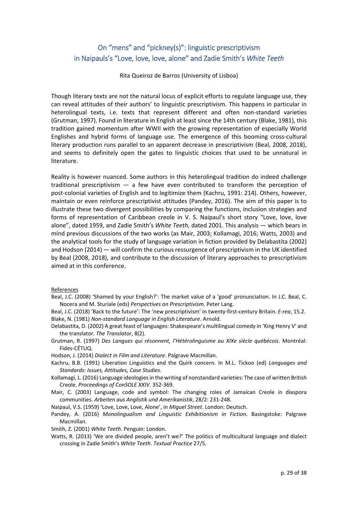# On "mens" and "pickney(s)": linguistic prescriptivism in Naipauls's "Love, love, love, alone" and Zadie Smith's *White Teeth*

Rita Queiroz de Barros (University of Lisboa)

Though literary texts are not the natural locus of explicit efforts to regulate language use, they can reveal attitudes of their authors' to linguistic prescriptivism. This happens in particular in heterolingual texts, i.e. texts that represent different and often non‐standard varieties (Grutman, 1997). Found in literature in English at least since the 14th century (Blake, 1981), this tradition gained momentum after WWII with the growing representation of especially World Englishes and hybrid forms of language use. The emergence of this booming cross‐cultural literary production runs parallel to an apparent decrease in prescriptivism (Beal, 2008, 2018), and seems to definitely open the gates to linguistic choices that used to be unnatural in literature.

Reality is however nuanced. Some authors in this heterolingual tradition do indeed challenge traditional prescriptivism — a few have even contributed to transform the perception of post-colonial varieties of English and to legitimize them (Kachru, 1991: 214). Others, however, maintain or even reinforce prescriptivist attitudes (Pandey, 2016). The aim of this paper is to illustrate these two divergent possibilities by comparing the functions, inclusion strategies and forms of representation of Caribbean creole in V. S. Naipaul's short story "Love, love, love alone", dated 1959, and Zadie Smith's *White Teeth*, dated 2001. This analysis — which bears in mind previous discussions of the two works (as Mair, 2003; Kollamagi, 2016; Watts, 2003) and the analytical tools for the study of language variation in fiction provided by Delabastita (2002) and Hodson (2014) — will confirm the curious ressurgence of prescriptivism in the UK identified by Beal (2008, 2018), and contribute to the discussion of literary approaches to prescriptivism aimed at in this conference.

#### References

- Beal, J.C. (2008) 'Shamed by your English?': The market value of a 'good' pronunciation. In J.C. Beal, C. Nocera and M. Sturiale (eds) *Perspectives on Prescriptivism*. Peter Lang.
- Beal, J.C. (2018) 'Back to the future': The 'new prescriptivism' in twenty‐first‐century Britain. *E‐rea*, 15.2. Blake, N. (1981) *Non‐standard Language in English Literature*. Arnold.
- Delabastita, D. (2002) A great feast of languages: Shakespeare's multilingual comedy in 'King Henry V' and the translator. *The Translator*, 8(2).
- Grutman, R. (1997) *Des Langues qui résonnent, l'Hétérolinguisme au XIXe siècle québécois*. Montréal: Fides‐CÉTUQ.

Hodson, J. (2014) *Dialect in Film and Literature*. Palgrave Macmillan.

Kachru, B.B. (1991) Liberation Linguistics and the Quirk concern. In M.L. Tickoo (ed) *Languages and Standards: Issues, Attitudes, Case Studies*.

Kollamagi, L. (2016) Language ideologiesin the writing of nonstandard varieties: The case of written British Creole. *Proceedings of ConSOLE XXIV*. 352‐369.

Mair, C. (2003) Language, code and symbol: The changing roles of Jamaican Creole in diaspora communities. *Arbeiten aus Anglistik und Amerikanistik*, 28/2: 231‐248.

Naipaul, V.S. (1959) 'Love, Love, Love, Alone', in *Miguel Street*. London: Deutsch.

Pandey, A. (2016) *Monolingualism and Linguistic Exhibitionism in Fiction*. Basingstoke: Palgrave Macmillan.

Smith, Z. (2001) *White Teeth*. Penguin: London.

Watts, R. (2013) 'We are divided people, aren't we?' The politics of multicultural language and dialect crossing in Zadie Smith's *White Teeth*. *Textual Practice* 27/5.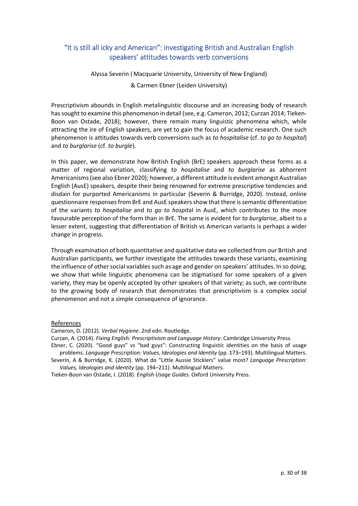# "It is still all icky and American": investigating British and Australian English speakers' attitudes towards verb conversions

Alyssa Severin ( Macquarie University, University of New England)

& Carmen Ebner (Leiden University)

Prescriptivism abounds in English metalinguistic discourse and an increasing body of research has sought to examine this phenomenon in detail (see, e.g. Cameron, 2012; Curzan 2014; Tieken-Boon van Ostade, 2018); however, there remain many linguistic phenomena which, while attracting the ire of English speakers, are yet to gain the focus of academic research. One such phenomenon is attitudes towards verb conversions such as *to hospitalise* (cf. *to go to hospital*) and *to burglarise* (cf. *to burgle*).

In this paper, we demonstrate how British English (BrE) speakers approach these forms as a matter of regional variation, classifying *to hospitalise* and *to burglarise* as abhorrent Americanisms(see also Ebner 2020); however, a different attitude is evident amongst Australian English (AusE) speakers, despite their being renowned for extreme prescriptive tendencies and disdain for purported Americanisms in particular (Severin & Burridge, 2020). Instead, online questionnaire responsesfrom BrE and AusE speakersshow that there issemantic differentiation of the variants *to hospitalise* and *to go to hospit*al in AusE, which contributes to the more favourable perception of the form than in BrE. The same is evident for *to burglarise*, albeit to a lesser extent, suggesting that differentiation of British vs American variants is perhaps a wider change in progress.

Through examination of both quantitative and qualitative data we collected from our British and Australian participants, we further investigate the attitudes towards these variants, examining the influence of other social variables such as age and gender on speakers' attitudes. In so doing, we show that while linguistic phenomena can be stigmatised for some speakers of a given variety, they may be openly accepted by other speakers of that variety; as such, we contribute to the growing body of research that demonstrates that prescriptivism is a complex social phenomenon and not a simple consequence of ignorance.

#### References

Cameron, D. (2012). *Verbal Hygiene*. 2nd edn. Routledge.

Curzan, A. (2014). *Fixing English: Prescriptivism and Language History*. Cambridge University Press.

Ebner, C. (2020). "Good guys" vs "bad guys": Constructing linguistic identities on the basis of usage problems. *Language Prescription: Values, Ideologies and Identity* (pp. 173–193). Multilingual Matters.

Severin, A & Burridge, K. (2020). What do "Little Aussie Sticklers" value most? *Language Prescription: Values, Ideologies and Identity* (pp. 194–211). Multilingual Matters.

Tieken‐Boon van Ostade, I. (2018). *English Usage Guides*. Oxford University Press.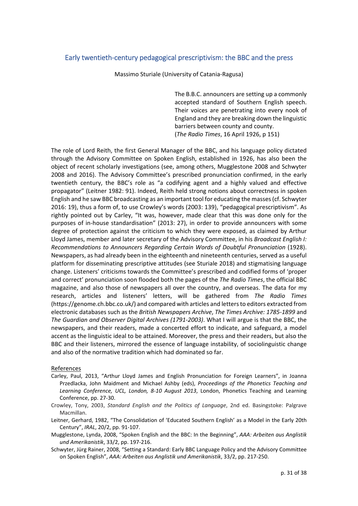## Early twentieth‐century pedagogical prescriptivism: the BBC and the press

Massimo Sturiale (University of Catania‐Ragusa)

The B.B.C. announcers are setting up a commonly accepted standard of Southern English speech. Their voices are penetrating into every nook of England and they are breaking down the linguistic barriers between county and county. (*The Radio Times*, 16 April 1926, p 151)

The role of Lord Reith, the first General Manager of the BBC, and his language policy dictated through the Advisory Committee on Spoken English, established in 1926, has also been the object of recent scholarly investigations (see, among others, Mugglestone 2008 and Schwyter 2008 and 2016). The Advisory Committee's prescribed pronunciation confirmed, in the early twentieth century, the BBC's role as "a codifying agent and a highly valued and effective propagator" (Leitner 1982: 91). Indeed, Reith held strong notions about correctness in spoken English and he saw BBC broadcasting as an important tool for educating the masses(cf. Schwyter 2016: 19), thus a form of, to use Crowley's words (2003: 139), "pedagogical prescriptivism". As rightly pointed out by Carley, "It was, however, made clear that this was done only for the purposes of in‐house standardisation" (2013: 27), in order to provide announcers with some degree of protection against the criticism to which they were exposed, as claimed by Arthur Lloyd James, member and later secretary of the Advisory Committee, in his *Broadcast English I: Recommendations to Announcers Regarding Certain Words of Doubtful Pronunciation* (1928). Newspapers, as had already been in the eighteenth and nineteenth centuries, served as a useful platform for disseminating prescriptive attitudes (see Sturiale 2018) and stigmatising language change. Listeners' criticisms towards the Committee's prescribed and codified forms of 'proper and correct' pronunciation soon flooded both the pages of the *The Radio Times*, the official BBC magazine, and also those of newspapers all over the country, and overseas. The data for my research, articles and listeners' letters, will be gathered from *The Radio Times* (https://genome.ch.bbc.co.uk/) and compared with articles and lettersto editors extracted from electronic databases such as the *British Newspapers Archive*, *The Times Archive: 1785‐1899* and *The Guardian and Observer Digital Archives (1791‐2003)*. What I will argue is that the BBC, the newspapers, and their readers, made a concerted effort to indicate, and safeguard, a model accent as the linguistic ideal to be attained. Moreover, the press and their readers, but also the BBC and their listeners, mirrored the essence of language instability, of sociolinguistic change and also of the normative tradition which had dominated so far.

- Carley, Paul, 2013, "Arthur Lloyd James and English Pronunciation for Foreign Learners", in Joanna Przedlacka, John Maidment and Michael Ashby (eds), *Proceedings of the Phonetics Teaching and Learning Conference, UCL, London, 8‐10 August 2013*, London, Phonetics Teaching and Learning Conference, pp. 27‐30.
- Crowley, Tony, 2003, *Standard English and the Politics of Language*, 2nd ed. Basingstoke: Palgrave Macmillan.
- Leitner, Gerhard, 1982, "The Consolidation of 'Educated Southern English' as a Model in the Early 20th Century", *IRAL*, 20/2, pp. 91‐107.
- Mugglestone, Lynda, 2008, "Spoken English and the BBC: In the Beginning", *AAA: Arbeiten aus Anglistik und Amerikanistik*, 33/2, pp. 197‐216.
- Schwyter, Jürg Rainer, 2008, "Setting a Standard: Early BBC Language Policy and the Advisory Committee on Spoken English", *AAA: Arbeiten aus Anglistik und Amerikanistik*, 33/2, pp. 217‐250.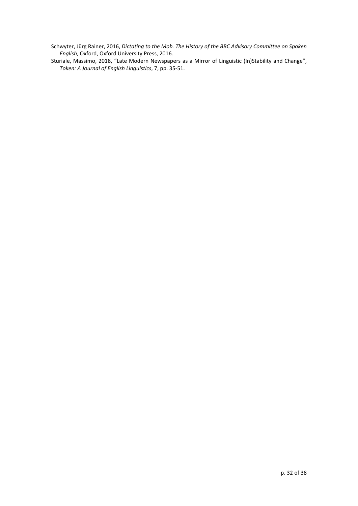Schwyter, Jürg Rainer, 2016, *Dictating to the Mob. The History of the BBC Advisory Committee on Spoken English*, Oxford, Oxford University Press, 2016.

Sturiale, Massimo, 2018, "Late Modern Newspapers as a Mirror of Linguistic (In)Stability and Change", *Token: A Journal of English Linguistics*, 7, pp. 35‐51.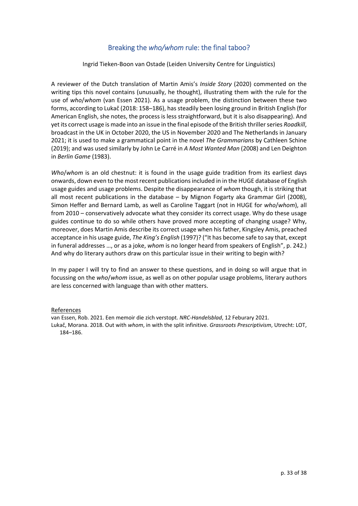# Breaking the *who/whom* rule: the final taboo?

Ingrid Tieken‐Boon van Ostade (Leiden University Centre for Linguistics)

A reviewer of the Dutch translation of Martin Amis's *Inside Story* (2020) commented on the writing tips this novel contains (unusually, he thought), illustrating them with the rule for the use of *who*/*whom* (van Essen 2021). As a usage problem, the distinction between these two forms, according to Lukač (2018: 158–186), has steadily been losing ground in British English (for American English, she notes, the process is less straightforward, but it is also disappearing). And yet its correct usage is made into an issue in the final episode of the British thrillerseries *Roadkill*, broadcast in the UK in October 2020, the US in November 2020 and The Netherlands in January 2021; it is used to make a grammatical point in the novel *The Grammarians* by Cathleen Schine (2019); and was used similarly by John Le Carré in *A Most Wanted Man* (2008) and Len Deighton in *Berlin Game* (1983).

*Who*/*whom* is an old chestnut: it is found in the usage guide tradition from its earliest days onwards, down even to the mostrecent publicationsincluded in in the HUGE database of English usage guides and usage problems. Despite the disappearance of *whom* though, it is striking that all most recent publications in the database – by Mignon Fogarty aka Grammar Girl (2008), Simon Heffer and Bernard Lamb, as well as Caroline Taggart (not in HUGE for *who*/*whom*), all from 2010 – conservatively advocate what they consider its correct usage. Why do these usage guides continue to do so while others have proved more accepting of changing usage? Why, moreover, does Martin Amis describe its correct usage when hisfather, Kingsley Amis, preached acceptance in his usage guide, *The King's English* (1997)? ("It has become safe to say that, except in funeral addresses …, or as a joke, *whom* is no longer heard from speakers of English", p. 242.) And why do literary authors draw on this particular issue in their writing to begin with?

In my paper I will try to find an answer to these questions, and in doing so will argue that in focussing on the *who*/*whom* issue, as well as on other popular usage problems, literary authors are less concerned with language than with other matters.

#### References

van Essen, Rob. 2021. Een memoir die zich verstopt. *NRC‐Handelsblad*, 12 Feburary 2021.

Lukač, Morana. 2018. Out with *whom*, in with the split infinitive. *Grassroots Prescriptivism*, Utrecht: LOT, 184–186.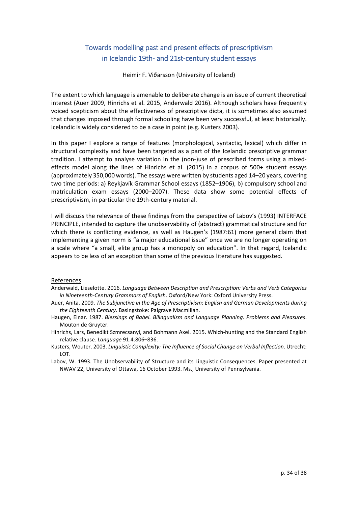# Towards modelling past and present effects of prescriptivism in Icelandic 19th‐ and 21st‐century student essays

Heimir F. Viðarsson (University of Iceland)

The extent to which language is amenable to deliberate change is an issue of current theoretical interest (Auer 2009, Hinrichs et al. 2015, Anderwald 2016). Although scholars have frequently voiced scepticism about the effectiveness of prescriptive dicta, it is sometimes also assumed that changes imposed through formal schooling have been very successful, at least historically. Icelandic is widely considered to be a case in point (e.g. Kusters 2003).

In this paper I explore a range of features (morphological, syntactic, lexical) which differ in structural complexity and have been targeted as a part of the Icelandic prescriptive grammar tradition. I attempt to analyse variation in the (non-)use of prescribed forms using a mixedeffects model along the lines of Hinrichs et al. (2015) in a corpus of 500+ student essays (approximately 350,000 words). The essays were written by students aged 14–20 years, covering two time periods: a) Reykjavík Grammar School essays (1852–1906), b) compulsory school and matriculation exam essays (2000–2007). These data show some potential effects of prescriptivism, in particular the 19th‐century material.

I will discuss the relevance of these findings from the perspective of Labov's (1993) INTERFACE PRINCIPLE, intended to capture the unobservability of (abstract) grammatical structure and for which there is conflicting evidence, as well as Haugen's (1987:61) more general claim that implementing a given norm is "a major educational issue" once we are no longer operating on a scale where "a small, elite group has a monopoly on education". In that regard, Icelandic appears to be less of an exception than some of the previous literature has suggested.

#### References

Anderwald, Lieselotte. 2016. *Language Between Description and Prescription: Verbs and Verb Categories in Nineteenth‐Century Grammars of English*. Oxford/New York: Oxford University Press.

Auer, Anita. 2009. *The Subjunctive in the Age of Prescriptivism: English and German Developments during the Eighteenth Century*. Basingstoke: Palgrave Macmillan.

- Haugen, Einar. 1987. *Blessings of Babel. Bilingualism and Language Planning. Problems and Pleasures*. Mouton de Gruyter.
- Hinrichs, Lars, Benedikt Szmrecsanyi, and Bohmann Axel. 2015. Which‐hunting and the Standard English relative clause. *Language* 91.4:806–836.
- Kusters, Wouter. 2003. *Linguistic Complexity: The Influence of Social Change on Verbal Inflection*. Utrecht: LOT.
- Labov, W. 1993. The Unobservability of Structure and its Linguistic Consequences. Paper presented at NWAV 22, University of Ottawa, 16 October 1993. Ms., University of Pennsylvania.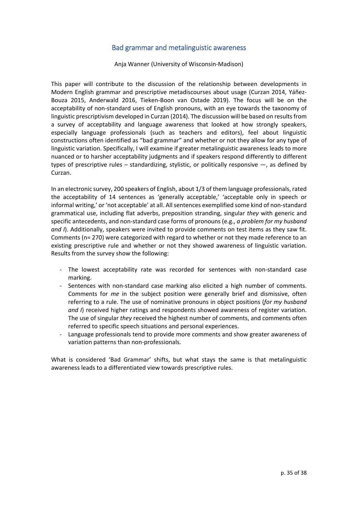## Bad grammar and metalinguistic awareness

Anja Wanner (University of Wisconsin‐Madison)

This paper will contribute to the discussion of the relationship between developments in Modern English grammar and prescriptive metadiscourses about usage (Curzan 2014, Yáñez‐ Bouza 2015, Anderwald 2016, Tieken‐Boon van Ostade 2019). The focus will be on the acceptability of non‐standard uses of English pronouns, with an eye towards the taxonomy of linguistic prescriptivism developed in Curzan (2014). The discussion will be based on resultsfrom a survey of acceptability and language awareness that looked at how strongly speakers, especially language professionals (such as teachers and editors), feel about linguistic constructions often identified as "bad grammar" and whether or not they allow for any type of linguistic variation. Specifically, I will examine if greater metalinguistic awareness leads to more nuanced or to harsher acceptability judgments and if speakers respond differently to different types of prescriptive rules – standardizing, stylistic, or politically responsive —, as defined by Curzan.

In an electronic survey, 200 speakers of English, about 1/3 of them language professionals, rated the acceptability of 14 sentences as 'generally acceptable,' 'acceptable only in speech or informal writing,' or 'not acceptable' at all. All sentences exemplified some kind of non-standard grammatical use, including flat adverbs, preposition stranding, singular *they* with generic and specific antecedents, and non‐standard case forms of pronouns (e.g., *a problem for my husband and I*). Additionally, speakers were invited to provide comments on test items as they saw fit. Comments (n= 270) were categorized with regard to whether or not they made reference to an existing prescriptive rule and whether or not they showed awareness of linguistic variation. Results from the survey show the following:

- ‐ The lowest acceptability rate was recorded for sentences with non‐standard case marking.
- ‐ Sentences with non‐standard case marking also elicited a high number of comments. Comments for *me* in the subject position were generally brief and dismissive, often referring to a rule. The use of nominative pronouns in object positions (*for my husband and I*) received higher ratings and respondents showed awareness of register variation. The use of singular *they* received the highest number of comments, and comments often referred to specific speech situations and personal experiences.
- ‐ Language professionals tend to provide more comments and show greater awareness of variation patterns than non‐professionals.

What is considered 'Bad Grammar' shifts, but what stays the same is that metalinguistic awareness leads to a differentiated view towards prescriptive rules.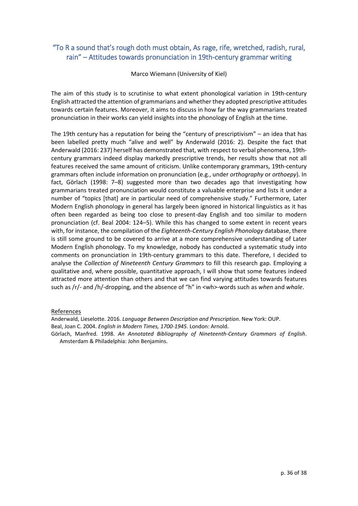# "To R a sound that's rough doth must obtain, As rage, rife, wretched, radish, rural, rain" – Attitudes towards pronunciation in 19th‐century grammar writing

Marco Wiemann (University of Kiel)

The aim of this study is to scrutinise to what extent phonological variation in 19th-century English attracted the attention of grammarians and whether they adopted prescriptive attitudes towards certain features. Moreover, it aims to discuss in how far the way grammarians treated pronunciation in their works can yield insights into the phonology of English at the time.

The 19th century has a reputation for being the "century of prescriptivism" – an idea that has been labelled pretty much "alive and well" by Anderwald (2016: 2). Despite the fact that Anderwald (2016: 237) herself has demonstrated that, with respect to verbal phenomena, 19th‐ century grammars indeed display markedly prescriptive trends, her results show that not all features received the same amount of criticism. Unlike contemporary grammars, 19th‐century grammars often include information on pronunciation (e.g., under *orthography* or *orthoepy*). In fact, Görlach (1998: 7–8) suggested more than two decades ago that investigating how grammarians treated pronunciation would constitute a valuable enterprise and lists it under a number of "topics [that] are in particular need of comprehensive study." Furthermore, Later Modern English phonology in general has largely been ignored in historical linguistics as it has often been regarded as being too close to present-day English and too similar to modern pronunciation (cf. Beal 2004: 124–5). While this has changed to some extent in recent years with, for instance, the compilation of the *Eighteenth‐Century English Phonology* database, there is still some ground to be covered to arrive at a more comprehensive understanding of Later Modern English phonology. To my knowledge, nobody has conducted a systematic study into comments on pronunciation in 19th-century grammars to this date. Therefore, I decided to analyse the *Collection of Nineteenth Century Grammars* to fill this research gap. Employing a qualitative and, where possible, quantitative approach, I will show that some features indeed attracted more attention than others and that we can find varying attitudes towards features such as /r/‐ and /h/‐dropping, and the absence of "h" in <wh>‐words such as *when* and *whale*.

#### References

Anderwald, Lieselotte. 2016. *Language Between Description and Prescription*. New York: OUP. Beal, Joan C. 2004. *English in Modern Times, 1700‐1945*. London: Arnold.

Görlach, Manfred. 1998. *An Annotated Bibliography of Nineteenth‐Century Grammars of English*. Amsterdam & Philadelphia: John Benjamins.